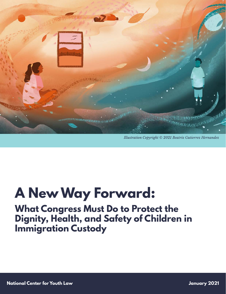

*Illustration Copyright* © *2021 Beatriz Gutierrez Hernandez*

# **A New Way Forward:**

**What Congress Must Do to Protect the Dignity, Health, and Safety of Children in Immigration Custody**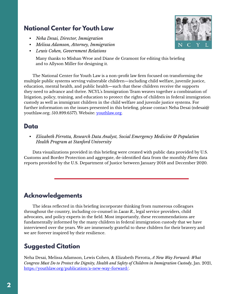# **National Center for Youth Law**

- *• Neha Desai, Director, Immigration*
- *• Melissa Adamson, Attorney, Immigration*
- *• Lewis Cohen, Government Relations*

Many thanks to Mishan Wroe and Diane de Gramont for editing this briefing and to Allyson Miller for designing it.

The National Center for Youth Law is a non-profit law firm focused on transforming the multiple public systems serving vulnerable children—including child welfare, juvenile justice, education, mental health, and public health—such that these children receive the supports they need to advance and thrive. NCYL's Immigration Team weaves together a combination of litigation, policy, training, and education to protect the rights of children in federal immigration custody as well as immigrant children in the child welfare and juvenile justice systems. For further information on the issues presented in this briefing, please contact Neha Desai (ndesai@ youthlaw.org; 510.899.6577). Website: [youthlaw.org.](http://www.youthlaw.org)

# **Data**

*• Elizabeth Pirrotta, Research Data Analyst, Social Emergency Medicine & Population Health Program at Stanford University*

Data visualizations provided in this briefing were created with public data provided by U.S. Customs and Border Protection and aggregate, de-identified data from the monthly *Flores* data reports provided by the U.S. Department of Justice between January 2018 and December 2020.

# **Acknowledgements**

The ideas reflected in this briefing incorporate thinking from numerous colleagues throughout the country, including co-counsel in *Lucas R.*, legal service providers, child advocates, and policy experts in the field. Most importantly, these recommendations are fundamentally informed by the many children in federal immigration custody that we have interviewed over the years. We are immensely grateful to these children for their bravery and we are forever inspired by their resilience.

# **Suggested Citation**

Neha Desai, Melissa Adamson, Lewis Cohen, & Elizabeth Pirrotta, *A New Way Forward: What Congress Must Do to Protect the Dignity, Health and Safety of Children in Immigration Custody*, Jan. 2021, <https://youthlaw.org/publication/a-new-way-forward/>.

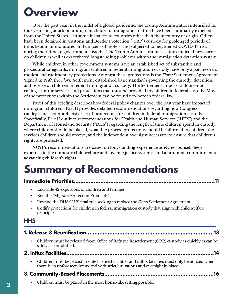# **Overview**

Over the past year, in the midst of a global pandemic, the Trump Administration intensified its four year-long attack on immigrant children. Immigrant children have been summarily expelled from the United States —in some instances to countries other than their country of origin. Others have been detained in Customs and Border Protection ("CBP") custody for prolonged periods of time, kept in unmonitored and unlicensed motels, and subjected to heightened COVID-19 risk during their time in government custody. The Trump Administration's actions inflicted new harms on children as well as exacerbated longstanding problems within the immigration detention system.

While children in other government systems have an established set of substantive and procedural safeguards, immigrant children in federal immigration custody have only a patchwork of modest and rudimentary protections. Amongst these protections is the *Flores* Settlement Agreement. Signed in 1997, the *Flores* Settlement established basic standards governing the custody, detention, and release of children in federal immigration custody. The Settlement imposes a floor—not a ceiling—for the services and protections that must be provided to children in federal custody. Most of the protections within the Settlement can be found nowhere in federal law.

**Part I** of this briefing describes how federal policy changes over the past year have impacted immigrant children. **Part II** provides detailed recommendations regarding how Congress can legislate a comprehensive set of protections for children in federal immigration custody. Specifically, Part II outlines recommendations for Health and Human Services ("HHS") and the Department of Homeland Security ("DHS") regarding the length of time children spend in custody, where children should be placed, what due process protections should be afforded to children, the services children should receive, and the independent oversight necessary to ensure that children's rights are protected.

NCYL's recommendations are based on longstanding experience as *Flores* counsel, deep expertise in the domestic child welfare and juvenile justice systems, and a profound commitment to advancing children's rights.

# **Summary of Recommendations**

## **Immediate Priorities.....................................................................................11**

- End Title 42 expulsions of children and families.
- End the "Migrant Protection Protocols."
- Rescind the DHS/HHS final rule seeking to replace the *Flores* Settlement Agreement.
- Codify protections for children in federal immigration custody that align with child welfare principles.

# **HHS**

|--|--|

• Children must be released from Office of Refugee Resettlement (ORR) custody as quickly as can be safely accomplished.

# **2. Influx Facilities.........................................................................................14**

• Children must be placed in state licensed facilities and influx facilities must only be utilized when there is an unforeseen influx and with strict limitations and oversight in place.

# **3. Community-Based Placements..................................................................16**

• Children must be placed in the most home-like setting possible.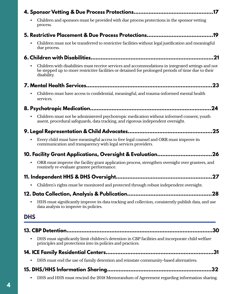|            | .17                                                                                                                                                                                                                      |
|------------|--------------------------------------------------------------------------------------------------------------------------------------------------------------------------------------------------------------------------|
|            | Children and sponsors must be provided with due process protections in the sponsor vetting<br>process.                                                                                                                   |
|            |                                                                                                                                                                                                                          |
|            | Children must not be transferred to restrictive facilities without legal justification and meaningful<br>due process.                                                                                                    |
|            |                                                                                                                                                                                                                          |
| ٠          | Children with disabilities must receive services and accommodations in integrated settings and not<br>be stepped up to more restrictive facilities or detained for prolonged periods of time due to their<br>disability. |
|            | 23                                                                                                                                                                                                                       |
| $\bullet$  | Children must have access to confidential, meaningful, and trauma-informed mental health<br>services.                                                                                                                    |
|            | .24                                                                                                                                                                                                                      |
|            | Children must not be administered psychotropic medication without informed consent, youth<br>assent, procedural safeguards, data tracking, and rigorous independent oversight.                                           |
|            | .25                                                                                                                                                                                                                      |
|            | Every child must have meaningful access to free legal counsel and ORR must improve its<br>communication and transparency with legal services providers.                                                                  |
|            | 10. Facility Grant Applications, Oversight & Evaluation26                                                                                                                                                                |
|            | ORR must improve the facility grant application process, strengthen oversight over grantees, and<br>routinely re-evaluate grantee performance.                                                                           |
|            |                                                                                                                                                                                                                          |
|            | Children's rights must be monitored and protected through robust independent oversight.                                                                                                                                  |
|            |                                                                                                                                                                                                                          |
|            | HHS must significantly improve its data tracking and collection, consistently publish data, and use<br>data analysis to improve its policies.                                                                            |
| <b>DHS</b> |                                                                                                                                                                                                                          |
|            |                                                                                                                                                                                                                          |
|            | DHS must significantly limit children's detention in CBP facilities and incorporate child welfare<br>principles and protections into its policies and practices.                                                         |
|            | .31                                                                                                                                                                                                                      |
| $\bullet$  | DHS must end the use of family detention and reinstate community-based alternatives.                                                                                                                                     |
|            |                                                                                                                                                                                                                          |
|            | DHS and HHS must rescind the 2018 Memorandum of Agreement regarding information sharing.                                                                                                                                 |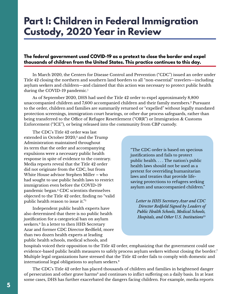# <span id="page-4-0"></span>**Part I: Children in Federal Immigration Custody, 2020 Year in Review**

#### **The federal government used COVID-19 as a pretext to close the border and expel thousands of children from the United States. This practice continues to this day.**

In March 2020, the Centers for Disease Control and Prevention ("CDC") issued an order under Title 42 closing the northern and southern land borders to all "non-essential" travelers—including asylum seekers and children—and claimed that this action was necessary to protect public health during the COVID-[1](#page-32-0)9 pandemic.<sup>1</sup>

As of September 2020, DHS had used the Title 42 order to expel approximately 8,800 unaccompanied children and 7,600 accompanied children and their family members[.2](#page-32-0) Pursuant to the order, children and families are summarily returned or "expelled" without legally mandated protection screenings, immigration court hearings, or other due process safeguards, rather than being transferred to the Office of Refugee Resettlement ("ORR") or Immigration & Customs Enforcement ("ICE"), or being released into the community from CBP custody.

The CDC's Title 42 order was last extended in October 2020,<sup>3</sup> and the Trump Administration maintained throughout its term that the order and accompanying expulsions were a necessary public health response in spite of evidence to the contrary. Media reports reveal that the Title 42 order did not originate from the CDC, but from White House advisor Stephen Miller – who had sought to use public health laws to restrict immigration even before the COVID-19 pandemic began[.4](#page-32-0) CDC scientists themselves objected to the Title 42 order, finding no "valid public health reason to issue it."[5](#page-32-0)

Independent public health experts have also determined that there is no public health justification for a categorical ban on asylum seekers.<sup>6</sup> In a letter to then HHS Secretary Azar and former CDC Director Redfield, more than two dozen health experts at leading public health schools, medical schools, and

"The CDC order is based on specious justifications and fails to protect public health. . . . The nation's public health laws should not be used as a pretext for overriding humanitarian laws and treaties that provide lifesaving protections to refugees seeking asylum and unaccompanied children."

*Letter to HHS Secretary Azar and CDC Director Redfield Signed by Leaders of Public Health Schools, Medical Schools, Hospitals, and Other U.S. Institutions*[15](#page-33-0)

hospitals voiced their opposition to the Title 42 order, emphasizing that the government could use evidence-based public health measures to safely process asylum seekers without closing the border.<sup>7</sup> Multiple legal organizations have stressed that the Title 42 order fails to comply with domestic and international legal obligations to asylum seekers.[8](#page-32-0)

The CDC's Title 42 order has placed thousands of children and families in heightened danger of persecution and other grave harms<sup>9</sup> and continues to inflict suffering on a daily basis. In at least some cases, DHS has further exacerbated the dangers facing children. For example, media reports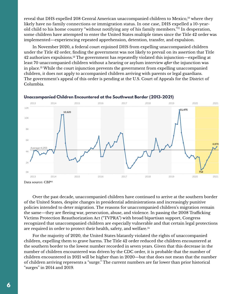<span id="page-5-0"></span>reveal that DHS expelled 208 Central American unaccompanied children to Mexico,<sup>10</sup> where they likely have no family connections or immigration status. In one case, DHS expelled a 10-yearold child to his home country "without notifying any of his family members."<sup>11</sup> In desperation, some children have attempted to enter the United States multiple times since the Title 42 order was implemented—experiencing repeated apprehension, detention, transfer, and expulsion.

In November 2020, a federal court enjoined DHS from expelling unaccompanied children under the Title 42 order, finding the government was not likely to prevail on its assertion that Title 42 authorizes expulsions[.12](#page-33-0) The government has repeatedly violated this injunction—expelling at least 70 unaccompanied children without a hearing or asylum interview *after* the injunction was in place[.13](#page-33-0) While the court injunction prevents the government from expelling unaccompanied children, it does not apply to accompanied children arriving with parents or legal guardians. The government's appeal of this order is pending at the U.S. Court of Appeals for the District of Columbia.



#### **Unaccompanied Children Encountered at the Southwest Border (2013-2021)**

Over the past decade, unaccompanied children have continued to arrive at the southern border of the United States, despite changes in presidential administrations and increasingly punitive policies intended to deter migration. The reasons for unaccompanied children's migration remain the same—they are fleeing war, persecution, abuse, and violence. In passing the 2008 Trafficking Victims Protection Reauthorization Act ("TVPRA") with broad bipartisan support, Congress recognized that unaccompanied children are especially vulnerable and that certain legal protections are required in order to protect their health, safety, and welfare[.14](#page-33-0)

For the majority of 2020, the United States blatantly violated the rights of unaccompanied children, expelling them to grave harms. The Title 42 order reduced the children encountered at the southern border to the lowest number recorded in seven years. Given that this decrease in the number of children encountered was driven by the CDC order, it is probable that the number of children encountered in 2021 will be higher than in 2020—but that does not mean that the number of children arriving represents a "surge." The current numbers are far lower than prior historical "surges" in 2014 and 2019.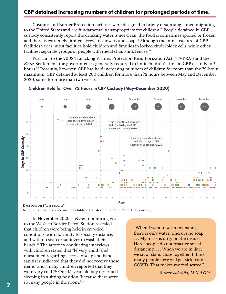# <span id="page-6-0"></span>**CBP detained increasing numbers of children for prolonged periods of time.**

Customs and Border Protection facilities were designed to briefly detain single men migrating to the United States and are fundamentally inappropriate for children.<sup>[17](#page-33-0)</sup> People detained in CBP custody consistently report the drinking water is not clean, the food is sometimes spoiled or frozen, and there is extremely limited access to showers and soap.<sup>18</sup> Although the infrastructure of CBP facilities varies, most facilities hold children and families in locked cinderblock cells, while other facilities separate groups of people with metal chain-link fences[.19](#page-33-0)

Pursuant to the 2008 Trafficking Victims Protection Reauthorization Act ("TVPRA") and the *Flores* Settlement, the government is generally required to limit children's time in CBP custody to 72 hours[.20](#page-33-0) Recently, however, CBP has held increasing numbers of children for more than the 72-hour maximum. CBP detained at least 200 children for more than 72 hours between May and December 2020, some for more than two weeks.



### Children Held for Over 72 Hours in CBP Custody (May-December 2020) **Children Held for Over 72 Hours in CBP Custody (May-December 2020)**

Data source: *Flores* reports<sup>25</sup>

Note: This chart does not include children transferred to ICE ERO or HHS custody.

In November 2020, a *Flores* monitoring visit to the Weslaco Border Patrol Station revealed that children were being held in crowded conditions, with no ability to socially distance, and with no soap or sanitizer to wash their hands[.21](#page-33-0) The attorney conducting interviews with children stated that "[e]very child [she] questioned regarding access to soap and hand sanitizer indicated that they did not receive these items" and "many children reported that they were very cold.["22](#page-33-0) One 15-year-old boy described sleeping in a sitting position "because there were so many people in the room.["23](#page-33-0)

"When I want to wash my hands, there is only water. There is no soap. . . . My mask is dirty on the inside. Here, people do not practice social distancing. . . . When we are in line, we sit or stand close together. I think many people here will get sick from COVID. That makes me feel scared."

*8-year-old child, M.N.A.G.*[24](#page-33-0)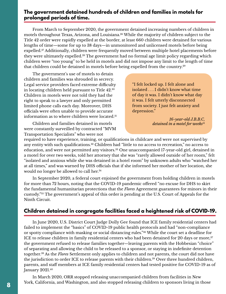#### <span id="page-7-0"></span>**The government detained hundreds of children and families in motels for prolonged periods of time.**

From March to September 2020, the government detained increasing numbers of children in motels throughout Texas, Arizona, and Louisiana[.26](#page-34-0) While the majority of children subject to the Title 42 order were rapidly expelled at the border, at least 660 children were detained for various lengths of time—some for up to 38 days—in unmonitored and unlicensed motels before being expelled.<sup>[27](#page-34-0)</sup> Additionally, children were frequently moved between multiple hotel placements before they were ultimately expelled[.28](#page-34-0) The government had no formal age limit policy regarding which children were "too young" to be held in motels and did not impose any limit to the length of time that children could be detained in motels before being expelled from the country.[29](#page-34-0)

The government's use of motels to detain children and families was shrouded in secrecy. Legal service providers faced extreme difficulty in locating children held pursuant to Title 42.[30](#page-34-0) Children in motels were not told they had the right to speak to a lawyer and only permitted limited phone calls each day. Moreover, DHS officials were often unable to provide accurate information as to where children were located.<sup>31</sup>

Children and families detained in motels were constantly surveilled by contracted "MVM Transportation Specialists" who were not

"I felt locked up. I felt alone and isolated . . . I didn't know what time of day it was. I didn't know what day it was. I felt utterly disconnected from society. I just felt anxiety and depression."

> *16-year-old J.B.B.C, detained in a motel for weeks*<sup>[51](#page-35-0)</sup>

required to have experience, training, or qualifications in childcare and were not supervised by any entity with such qualifications.<sup>[32](#page-34-0)</sup> Children had "little to no access to recreation," no access to education, and were not permitted any visitors.<sup>33</sup> One unaccompanied 17-year-old girl, detained in a motel for over two weeks, told her attorney that she was "rarely allowed outside of her room," felt "isolated and anxious while she was detained in a hotel room" by unknown adults who "watched her at all times," and was warned by DHS officials that if she informed her mother of her location, she would no longer be allowed to call her.[34](#page-34-0)

In September 2020, a federal court enjoined the government from holding children in motels for more than 72 hours, noting that the COVID-19 pandemic offered "no excuse for DHS to skirt the fundamental humanitarian protections that the *Flores* Agreement guarantees for minors in their custody.["35](#page-34-0) The government's appeal of this order is pending at the U.S. Court of Appeals for the Ninth Circuit.

# **Children detained in congregate facilities faced a heightened risk of COVID-19.**

In June 2020, U.S. District Court Judge Dolly Gee found that ICE family residential centers had failed to implement the "basics" of COVID-19 public health protocols and had "non-compliance or spotty compliance with masking or social distancing rules."[36](#page-34-0) While the court set a deadline for ICE to release children in family residential centers who had been detained for 20 days or more, $37$ the government refused to release families together—leaving parents with the Hobbesian "choice" of separating and allowing the child to be released to a sponsor, or staying in indefinite detention together[.38](#page-34-0) As the *Flores* Settlement only applies to children and not parents, the court did not have the jurisdiction to order ICE to release parents with their children.<sup>39</sup> Over three hundred children, parents, and staff members at ICE family residential centers had tested positive for COVID-19 as of January 2021.[40](#page-34-0)

In March 2020, ORR stopped releasing unaccompanied children from facilities in New York, California, and Washington, and also stopped releasing children to sponsors living in those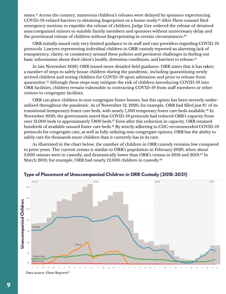<span id="page-8-0"></span>states.<sup>41</sup> Across the country, numerous children's releases were delayed by sponsors experiencing COVID-19-related barriers to obtaining fingerprints or a home study[.42](#page-35-0) After *Flores* counsel filed emergency motions to expedite the release of children, Judge Gee ordered the release of detained unaccompanied minors to suitable family members and sponsors without unnecessary delay and the provisional release of children without fingerprinting in certain circumstances.<sup>43</sup>

ORR initially issued only very limited guidance to its staff and care providers regarding COVID-19 protocols. Lawyers representing individual children in ORR custody reported an alarming lack of transparency, clarity, or consistency around these policies and persistent challenges in finding out basic information about their client's health, detention conditions, and barriers to release[.44](#page-35-0)

In late November 2020, ORR issued more detailed field guidance. ORR states that it has taken a number of steps to safely house children during the pandemic, including quarantining newly arrived children and testing children for COVID-19 upon admission and prior to release from quarantine[.45](#page-35-0) Although these steps may mitigate the risk of children introducing COVID-19 into ORR facilities, children remain vulnerable to contracting COVID-19 from staff members or other visitors to congregate facilities.

ORR can place children in non-congregate foster homes, but this option has been severely underutilized throughout the pandemic. As of November 12, 2020, for example, ORR had filled just 8% of its transitional (temporary) foster care beds, with nearly 1,500 temporary foster care beds available[.46](#page-35-0) In November 2020, the government stated that COVID-19 protocols had reduced ORR's capacity from over 13,000 beds to approximately 7,800 beds.<sup>47</sup> Even after this reduction in capacity, ORR retained hundreds of available unused foster care beds.<sup>[48](#page-35-0)</sup> By strictly adhering to CDC-recommended COVID-19 protocols for congregate care, as well as fully utilizing non-congregate options, ORR has the ability to safely care for thousands more children than it currently has in its care.

As illustrated in the chart below, the number of children in ORR custody remains low compared to prior years. The current census is similar to ORR's population in February 2020, when about 3,600 minors were in custody, and dramatically lower than ORR's census in 2018 and 2019[.49](#page-35-0) In March 2019, for example, ORR had nearly 12,000 children in custody.<sup>50</sup>



Type of Placement of Unaccompanied Children in ORR Custody (2018-2021)

Data source: *Flores* Reports<sup>[52](#page-35-0)</sup>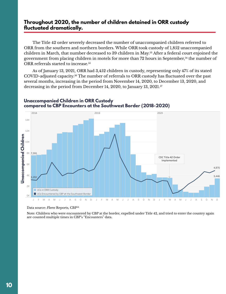### <span id="page-9-0"></span>**Throughout 2020, the number of children detained in ORR custody fluctuated dramatically.**

The Title 42 order severely decreased the number of unaccompanied children referred to ORR from the southern and northern borders. While ORR took custody of 1,852 unaccompanied children in March, that number decreased to 39 children in May.<sup>53</sup> After a federal court enjoined the government from placing children in motels for more than 72 hours in September,<sup>54</sup> the number of ORR referrals started to increase.<sup>[55](#page-35-0)</sup>

As of January 13, 2021, ORR had 3,452 children in custody, representing only 47% of its stated COVID-adjusted capacity.[56](#page-35-0) The number of referrals to ORR custody has fluctuated over the past several months, increasing in the period from November 14, 2020, to December 13, 2020, and decreasing in the period from December 14, 2020, to January 13, 2021.<sup>57</sup>



#### compared to CBP Encounters at the Southwest Border (2018-2020) **Unaccompanied Children in ORR Custody**

Data source: *Flores* Reports, CBP<sup>58</sup>

Note: Children who were encountered by CBP at the border, expelled under Title 42, and tried to enter the country again are counted multiple times in CBP's "Encounters" data.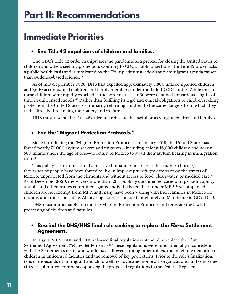# <span id="page-10-0"></span>**Immediate Priorities**

## **• End Title 42 expulsions of children and families.**

The CDC's Title 42 order manipulates the pandemic as a pretext for closing the United States to children and others seeking protection. Contrary to CDC's public assertions, the Title 42 order lacks a public health basis and is motivated by the Trump administration's anti-immigrant agenda rather than evidence-based science.<sup>[59](#page-36-0)</sup>

As of mid-September 2020, DHS had expelled approximately 8,800 unaccompanied children and 7,600 accompanied children and family members under the Title 42 CDC order. While most of these children were rapidly expelled at the border, at least 660 were detained for various lengths of time in unlicensed motels.<sup>60</sup> Rather than fulfilling its legal and ethical obligations to children seeking protection, the United States is summarily returning children to the same dangers from which they fled—directly threatening their safety and welfare.

HHS must rescind the Title 42 order and reinstate the lawful processing of children and families.

# **• End the "Migrant Protection Protocols."**

Since introducing the "Migrant Protection Protocols" in January 2019, the United States has forced nearly 70,000 asylum seekers and migrants—including at least 16,000 children and nearly 500 infants under the age of one—to return to Mexico to await their asylum hearing in immigration court.<sup>61</sup>

This policy has manufactured a massive humanitarian crisis at the southern border, as thousands of people have been forced to live in impromptu refugee camps or on the streets of Mexico, unprotected from the elements and without access to food, clean water, or medical care.<sup>[62](#page-36-0)</sup> As of December 2020, there were more than 1,314 publicly documented cases of rape, kidnapping, assault, and other crimes committed against individuals sent back under MPP.[63](#page-36-0) Accompanied children are not exempt from MPP, and many have been waiting with their families in Mexico for months until their court date. All hearings were suspended indefinitely in March due to COVID-19.

DHS must immediately rescind the Migrant Protection Protocols and reinstate the lawful processing of children and families.

## **• Rescind the DHS/HHS final rule seeking to replace the Flores Settlement Agreement.**

In August 2019, DHS and HHS released final regulations intended to replace the *Flores* Settlement Agreement ("Flores Settlement").<sup>[64](#page-36-0)</sup> These regulations were fundamentally inconsistent with the Settlement's terms and would have allowed, among other things, the indefinite detention of children in unlicensed facilities and the removal of key protections. Prior to the rule's finalization, tens of thousands of immigrant and child welfare advocates, nonprofit organizations, and concerned citizens submitted comments opposing the proposed regulations in the Federal Register.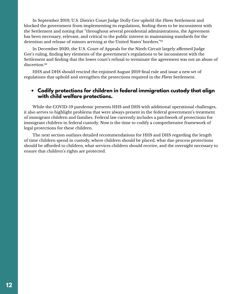<span id="page-11-0"></span>In September 2019, U.S. District Court Judge Dolly Gee upheld the *Flores* Settlement and blocked the government from implementing its regulations, finding them to be inconsistent with the Settlement and noting that "throughout several presidential administrations, the Agreement has been necessary, relevant, and critical to the public interest in maintaining standards for the detention and release of minors arriving at the United States' borders."[65](#page-36-0)

In December 2020, the U.S. Court of Appeals for the Ninth Circuit largely affirmed Judge Gee's ruling, finding key elements of the government's regulations to be inconsistent with the Settlement and finding that the lower court's refusal to terminate the agreement was not an abuse of discretion.<sup>[66](#page-36-0)</sup>

HHS and DHS should rescind the enjoined August 2019 final rule and issue a new set of regulations that uphold and strengthen the protections required in the *Flores* Settlement.

#### **• Codify protections for children in federal immigration custody that align with child welfare protections.**

While the COVID-19 pandemic presents HHS and DHS with additional operational challenges, it also serves to highlight problems that were always present in the federal government's treatment of immigrant children and families. Federal law currently includes a patchwork of protections for immigrant children in federal custody. Now is the time to codify a comprehensive framework of legal protections for these children.

The next section outlines detailed recommendations for HHS and DHS regarding the length of time children spend in custody, where children should be placed, what due process protections should be afforded to children, what services children should receive, and the oversight necessary to ensure that children's rights are protected.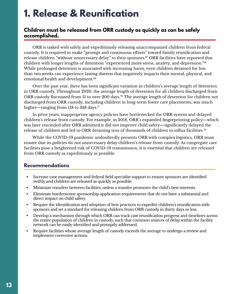# <span id="page-12-0"></span>**1. Release & Reunification**

## **Children must be released from ORR custody as quickly as can be safely accomplished.**

ORR is tasked with safely and expeditiously releasing unaccompanied children from federal custody. It is required to make "prompt and continuous efforts" toward family reunification and release children "without unnecessary delay" to their sponsors.<sup>67</sup> ORR facilities have reported that children with longer lengths of detention "experienced more stress, anxiety, and depression."[68](#page-36-0) While prolonged detention is associated with increasing harm, even children detained for less than two weeks can experience lasting distress that negatively impacts their mental, physical, and emotional health and development.[69](#page-36-0)

Over the past year, there has been significant variation in children's average length of detention in ORR custody. Throughout 2020, the average length of detention for all children discharged from ORR custody fluctuated from 51 to over 200 days.<sup>70</sup> The average length of detention for children not discharged from ORR custody, including children in long-term foster care placements, was much higher—ranging from 118 to 348 days.<sup>71</sup>

In prior years, inappropriate agency policies have bottlenecked the ORR system and delayed children's release from custody. For example, in 2018, ORR's expanded fingerprinting policy—which was later rescinded after ORR admitted it did not improve child safety—significantly delayed the release of children and led to ORR detaining tens of thousands of children in influx facilities.<sup>[72](#page-36-0)</sup>

While the COVID-19 pandemic undoubtedly presents ORR with complex logistics, ORR must ensure that its policies do not unnecessary delay children's release from custody. As congregate care facilities pose a heightened risk of COVID-19 transmission, it is essential that children are released from ORR custody as expeditiously as possible.

- Increase case management and federal field specialist support to ensure sponsors are identified swiftly and children are released as quickly as possible.
- Minimize transfers between facilities, unless a transfer promotes the child's best interests.
- Eliminate burdensome sponsorship application requirements that do not have a substantial and direct impact on child safety.
- Require the identification and adoption of best practices to expedite children's reunification with sponsors and set a standard for releasing children from ORR custody in thirty days or less.
- Develop a mechanism through which ORR can track case reunification progress and timelines across the entire population of children in custody, such that common sources of delay within the facility network can be easily identified and promptly addressed.
- Require facilities whose average length of custody exceeds the average to undergo a review and implement corrective actions.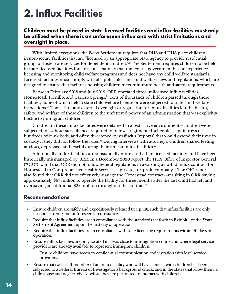# <span id="page-13-0"></span>**2. Influx Facilities**

## **Children must be placed in state-licensed facilities and influx facilities must only be utilized when there is an unforeseen influx and with strict limitations and oversight in place.**

With limited exceptions, the *Flores* Settlement requires that DHS and HHS place children in non-secure facilities that are "licensed by an appropriate State agency to provide residential, group, or foster care services for dependent children."[73](#page-36-0) The Settlement requires children to be held in state-licensed facilities for a reason – namely that the federal government has no experience licensing and monitoring child welfare programs and does not have any child welfare standards. Licensed facilities must comply with all applicable state child welfare laws and regulations, which are designed to ensure that facilities housing children meet minimum health and safety requirements.

Between February 2018 and July 2019, ORR operated three unlicensed influx facilities: Homestead, Tornillo, and Carrizo Springs.<sup>74</sup> Tens of thousands of children passed through these facilities, none of which held a state child welfare license or were subjected to state child welfare inspections.[75](#page-37-0) The lack of any external oversight or regulation for influx facilities left the health, safety, and welfare of these children to the unfettered power of an administration that was explicitly hostile to immigrant children.

Children in these influx facilities were detained in a restrictive environment—children were subjected to 24-hour surveillance, required to follow a regimented schedule, slept in rows of hundreds of bunk beds, and often threatened by staff with "reports" that would extend their time in custody if they did not follow the rules[.76](#page-37-0) During interviews with attorneys, children shared feeling anxious, depressed, and fearful during their time at influx facilities. $\pi$ 

Additionally, influx facilities are substantially more costly than licensed facilities and have been historically mismanaged by ORR. In a December 2020 report, the HHS Office of Inspector General ("OIG") found that ORR did not follow federal regulations in awarding a no-bid influx contract for Homestead to Comprehensive Health Services, a private, for-profit company[.78](#page-37-0) The OIG report also found that ORR did not effectively manage the Homestead contract—resulting in ORR paying approximately \$67 million to operate the facility for three months after the last child had left and overpaying an additional \$2.6 million throughout the contract[.79](#page-37-0)

- Ensure children are safely and expeditiously released (see p. 13), such that influx facilities are only used in extreme and unforeseen circumstances.
- Require that influx facilities are in compliance with the standards set forth in Exhibit 1 of the *Flores* Settlement Agreement upon the first day of operation.
- Require that influx facilities are in compliance with state licensing requirements within 90 days of operation.
- Ensure influx facilities are only located in areas close to immigration courts and where legal service providers are already available to represent immigrant children.
	- » Ensure children have access to confidential communication and visitation with legal service providers.
- Ensure that each staff member of an influx facility who will have contact with children has been subjected to a Federal Bureau of Investigations background check, and in the states that allow them, a child abuse and neglect check before they are permitted to interact with children.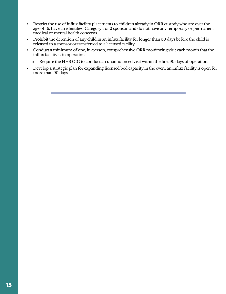- Restrict the use of influx facility placements to children already in ORR custody who are over the age of 16, have an identified Category 1 or 2 sponsor, and do not have any temporary or permanent medical or mental health concerns.
- Prohibit the detention of any child in an influx facility for longer than 30 days before the child is released to a sponsor or transferred to a licensed facility.
- Conduct a minimum of one, in-person, comprehensive ORR monitoring visit each month that the influx facility is in operation.
	- » Require the HHS OIG to conduct an unannounced visit within the first 90 days of operation.
- Develop a strategic plan for expanding licensed bed capacity in the event an influx facility is open for more than 90 days.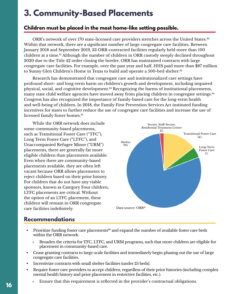# <span id="page-15-0"></span>**3. Community-Based Placements**

# **Children must be placed in the most home-like setting possible.**

ORR's network of over 170 state-licensed care providers stretches across the United States.<sup>80</sup> Within that network, there are a significant number of large congregate care facilities. Between January 2018 and September 2019, 33 ORR-contracted facilities regularly held more than 100 children at a time.<sup>81</sup> Although the number of children in ORR custody steeply declined throughout 2020 due to the Title 42 order closing the border, ORR has maintained contracts with large congregate care facilities. For example, over the past year and half, HHS paid more than \$87 million to Sunny Glen Children's Home in Texas to build and operate a 500-bed shelter.<sup>82</sup>

Research has demonstrated that congregate care and institutionalized care settings have profound short- and long-term harm on children's growth and development, including impaired physical, social, and cognitive development.<sup>83</sup> Recognizing the harms of institutional placements, many state child welfare agencies have moved away from placing children in congregate settings.<sup>[84](#page-37-0)</sup> Congress has also recognized the importance of family-based care for the long-term health and well-being of children. In 2018, the Family First Prevention Services Act instituted funding incentives for states to further reduce the use of congregate care facilities and increase the use of licensed family foster homes.<sup>[85](#page-37-0)</sup>

While the ORR network does include some community-based placements, such as Transitional Foster Care ("TFC"), Long Term Foster Care ("LTFC"), and Unaccompanied Refugee Minor ("URM") placements, there are generally far more eligible children than placements available. Even when there are community-based placements available, they are often left vacant because ORR allows placements to reject children based on their prior history. For children that do not have any viable sponsors, known as Category Four children, LTFC placements are critical. Without the option of an LTFC placement, these children will remain in ORR congregate care facilities indefinitely.



- Prioritize funding foster care placements<sup>86</sup> and expand the number of available foster care beds within the ORR network.
	- » Broaden the criteria for TFC, LTFC, and URM programs, such that more children are eligible for placement in community-based care.
- Cease granting contracts to large-scale facilities and immediately begin phasing out the use of large congregate care facilities.
- Incentivize contracts with small shelter facilities (under 25 beds).
- Require foster care providers to accept children, regardless of their prior histories (including complex mental health history and prior placement in restrictive facilities, etc.).
	- » Ensure that this requirement is reflected in the provider's contractual obligations.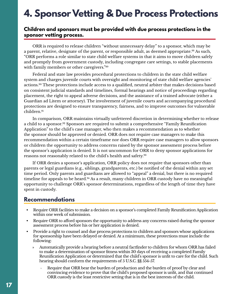# <span id="page-16-0"></span>**4. Sponsor Vetting & Due Process Protections**

#### **Children and sponsors must be provided with due process protections in the sponsor vetting process.**

ORR is required to release children "without unnecessary delay" to a sponsor, which may be a parent, relative, designate of the parent, or responsible adult, as deemed appropriate.<sup>88</sup> As such, "ORR performs a role similar to state child welfare systems in that it aims to move children safely and promptly from government custody, including congregate care settings, to stable placements with family members or other caregivers."<sup>[89](#page-37-0)</sup>

Federal and state law provides procedural protections to children in the state child welfare system and charges juvenile courts with oversight and monitoring of state child welfare agencies' actions.[90](#page-38-0) These protections include access to a qualified, neutral arbiter that makes decisions based on consistent judicial standards and timelines, formal hearings and notice of proceedings regarding placement, the right to appeal adverse decisions, and the assistance of a trained advocate (either a Guardian ad Litem or attorney). The involvement of juvenile courts and accompanying procedural protections are designed to ensure transparency, fairness, and to improve outcomes for vulnerable children.[91](#page-38-0)

In comparison, ORR maintains virtually unfettered discretion in determining whether to release a child to a sponsor.<sup>92</sup> Sponsors are required to submit a comprehensive "Family Reunification Application" to the child's case manager, who then makes a recommendation as to whether the sponsor should be approved or denied. ORR does not require case managers to make this recommendation within a certain timeframe nor does ORR require case managers to allow sponsors or children the opportunity to address concerns raised by the sponsor assessment process before the sponsor's application is denied. It is not uncommon for ORR to deny sponsor applications for reasons not reasonably related to the child's health and safety.[93](#page-38-0)

If ORR denies a sponsor's application, ORR policy does not require that sponsors other than parents or legal guardians (e.g., siblings, grandparents, etc.) be notified of the denial within any set time period. Only parents and guardians are allowed to "appeal" a denial, but there is no required timeline for appeals to be heard.<sup>94</sup> As a result, many children in ORR custody have no meaningful opportunity to challenge ORR's sponsor determinations, regardless of the length of time they have spent in custody.

- Require ORR facilities to make a decision on a sponsor's completed Family Reunification Application within one week of submission.
- Require ORR to afford sponsors the opportunity to address any concerns raised during the sponsor assessment process before his or her application is denied.
- Provide a right to counsel and due process protections to children and sponsors whose applications for sponsorship have been delayed or denied. At a minimum, these protections must include the following:
	- » Automatically provide a hearing before a neutral factfinder to children for whom ORR has failed to make a determination of sponsor fitness within 30 days of receiving a completed Family Reunification Application or determined that the child's sponsor is unfit to care for the child. Such hearing should conform the requirements of 5 U.S.C. §§ 554-57.
		- Require that ORR bear the burden of production and the burden of proof by clear and convincing evidence to prove that the child's proposed sponsor is unfit, and that continued ORR custody is the least restrictive setting that is in the best interests of the child.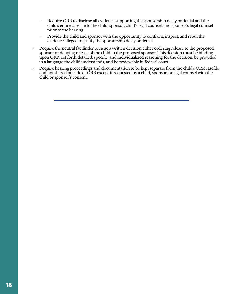- $\rightarrow$  Require ORR to disclose all evidence supporting the sponsorship delay or denial and the child's entire case file to the child, sponsor, child's legal counsel, and sponsor's legal counsel prior to the hearing.
- › Provide the child and sponsor with the opportunity to confront, inspect, and rebut the evidence alleged to justify the sponsorship delay or denial.
- » Require the neutral factfinder to issue a written decision either ordering release to the proposed sponsor or denying release of the child to the proposed sponsor. This decision must be binding upon ORR, set forth detailed, specific, and individualized reasoning for the decision, be provided in a language the child understands, and be reviewable in federal court.
- » Require hearing proceedings and documentation to be kept separate from the child's ORR casefile and not shared outside of ORR except if requested by a child, sponsor, or legal counsel with the child or sponsor's consent.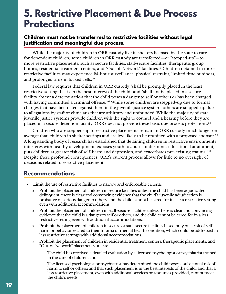# <span id="page-18-0"></span>**5. Restrictive Placement & Due Process Protections**

## **Children must not be transferred to restrictive facilities without legal justification and meaningful due process.**

While the majority of children in ORR custody live in shelters licensed by the state to care for dependent children, some children in ORR custody are transferred—or "stepped-up"—to more restrictive placements, such as secure facilities, staff-secure facilities, therapeutic group homes, residential treatment centers, and "Out-of-Network" facilities.<sup>95</sup> Children detained in more restrictive facilities may experience 24-hour surveillance, physical restraint, limited time outdoors, and prolonged time in locked cells.[96](#page-38-0)

Federal law requires that children in ORR custody "shall be promptly placed in the least restrictive setting that is in the best interest of the child" and "shall not be placed in a secure facility absent a determination that the child poses a danger to self or others or has been charged with having committed a criminal offense."<sup>[97](#page-38-0)</sup> While some children are stepped-up due to formal charges that have been filed against them in the juvenile justice system, others are stepped-up due to allegations by staff or clinicians that are arbitrary and unfounded. While the majority of state juvenile justice systems provide children with the right to counsel and a hearing before they are placed in a secure detention facility, ORR does not provide these basic due process protections[.98](#page-38-0)

Children who are stepped-up to restrictive placements remain in ORR custody much longer on average than children in shelter settings and are less likely to be reunified with a proposed sponsor.<sup>[99](#page-38-0)</sup> A longstanding body of research has established that detaining children in restrictive environments interferes with healthy development, exposes youth to abuse, undermines educational attainment, puts children at greater risk of self-harm and depression, and exacerbates pre-existing trauma.[100](#page-38-0) Despite these profound consequences, ORR's current process allows for little to no oversight of decisions related to restrictive placement.

- Limit the use of restrictive facilities to narrow and enforceable criteria.
	- » Prohibit the placement of children in **secure** facilities unless the child has been adjudicated delinquent, there is clear and convincing evidence that the child's juvenile adjudication is probative of serious danger to others, and the child cannot be cared for in a less restrictive setting even with additional accommodations.
	- » Prohibit the placement of children in **staff-secure** facilities unless there is clear and convincing evidence that the child is a danger to self or others, and the child cannot be cared for in a less restrictive setting even with additional accommodations.
	- » Prohibit the placement of children in secure or staff-secure facilities based only on a risk of selfharm or behavior related to their trauma or mental health condition, which could be addressed in less restrictive settings with additional accommodations.
	- » Prohibit the placement of children in residential treatment centers, therapeutic placements, and "Out-of-Network" placements unless:
		- › The child has received a detailed evaluation by a licensed psychologist or psychiatrist trained in the care of children, and
		- $\rightarrow$  The licensed psychologist or psychiatrist has determined the child poses a substantial risk of harm to self or others; and that such placement is in the best interests of the child; and that a less restrictive placement, even with additional services or resources provided, cannot meet the child's needs.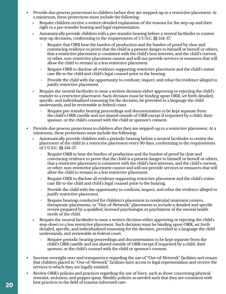- Provide due process protections to children before they are stepped-up to a restrictive placement. At a minimum, these protections must include the following:
	- Require children receive a written detailed explanation of the reasons for the step-up and their right to a pre-transfer hearing and legal representation.
	- » Automatically provide children with a pre-transfer hearing before a neutral factfinder to contest step-up decisions, conforming to the requirements of 5 U.S.C. §§ 554-57.
		- $\rightarrow$  Require that ORR bear the burden of production and the burden of proof by clear and convincing evidence to prove that the child is a present danger to himself or herself or others, that a restrictive placement is consistent with the child's best interests, and the child's current, or other, non-restrictive placement cannot and will not provide services or resources that will allow the child to remain in a less restrictive placement.
		- $\rightarrow$  Require ORR to disclose all evidence supporting restrictive placement and the child's entire case file to the child and child's legal counsel prior to the hearing.
		- $\rightarrow$  Provide the child with the opportunity to confront, inspect, and rebut the evidence alleged to justify restrictive placement.
	- » Require the neutral factfinder to issue a written decision either approving or rejecting the child's transfer to a restrictive placement. Such decision must be binding upon ORR, set forth detailed, specific, and individualized reasoning for the decision, be provided in a language the child understands, and be reviewable in federal court.
		- $\rightarrow$  Require pre-transfer hearing proceedings and documentation to be kept separate from the child's ORR casefile and not shared outside of ORR except if requested by a child, their sponsor, or the child's counsel with the child or sponsor's consent.
- Provide due process protections to children after they are stepped-up to a restrictive placement. At a minimum, these protections must include the following:
	- » Automatically provide children with a periodic hearing before a neutral factfinder to review the placement of the child in a restrictive placement every 30 days, conforming to the requirements of 5 U.S.C. §§ 554-57.
		- › Require ORR to bear the burden of production and the burden of proof by clear and convincing evidence to prove that the child is a present danger to himself or herself or others, that a restrictive placement is consistent with the child's best interests, and the child's current, or other, non-restrictive placement cannot and will not provide services or resources that will allow the child to remain in a less restrictive placement.
		- $\rightarrow$  Require ORR to disclose all evidence supporting restrictive placement and the child's entire case file to the child and child's legal counsel prior to the hearing.
		- $\rightarrow$  Provide the child with the opportunity to confront, inspect, and rebut the evidence alleged to justify restrictive placement.
		- Require hearings conducted for children's placement in residential treatment centers, therapeutic placements, or "Out-of-Network" placements to include a detailed and specific review prepared by a qualified, licensed psychologist or psychiatrist of the mental health needs of the child.
	- » Require the neutral factfinder to issue a written decision either approving or rejecting the child's step-down to a less restrictive placement. Such decision must be binding upon ORR, set forth detailed, specific, and individualized reasoning for the decision, provided in a language the child understands, and reviewable in federal court.
		- Require periodic hearing proceedings and documentation to be kept separate from the child's ORR casefile and not shared outside of ORR except if requested by a child, their sponsor, or the child's counsel with the child or sponsor's consent.
- Increase oversight over and transparency regarding the use of "Out-of-Network" facilities and ensure that children placed in "Out-of-Network" facilities have access to legal representation and receive the services to which they are legally entitled.
- Review ORR's policies and practices regarding the use of force, such as those concerning physical restraint, seclusion, and pepper spray. Modify policies as needed such that they are consistent with best practices in the field of trauma-informed care.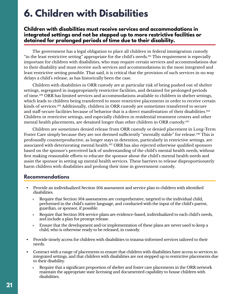# <span id="page-20-0"></span>**6. Children with Disabilities**

### **Children with disabilities must receive services and accommodations in integrated settings and not be stepped up to more restrictive facilities or detained for prolonged periods of time due to their disability.**

The government has a legal obligation to place all children in federal immigration custody "in the least restrictive setting" appropriate for the child's needs.[101](#page-38-0) This requirement is especially important for children with disabilities, who may require certain services and accommodations due to their disability and must receive such services and accommodations in the most integrated and least restrictive setting possible. That said, it is critical that the provision of such services in no way delays a child's release, as has historically been the case.

Children with disabilities in ORR custody are at particular risk of being pushed out of shelter settings, segregated in inappropriately restrictive facilities, and detained for prolonged periods of time.[102](#page-39-0) ORR has limited services and accommodations available to children in shelter settings, which leads to children being transferred to more restrictive placements in order to receive certain kinds of services.<sup>[103](#page-39-0)</sup> Additionally, children in ORR custody are sometimes transferred to secure and staff-secure facilities because of behavior that is a direct manifestation of their disabilities.[104](#page-39-0) Children in restrictive settings, and especially children in residential treatment centers and other mental health placements, are detained longer than other children in ORR custody.[105](#page-39-0)

Children are sometimes denied release from ORR custody or denied placement in Long-Term Foster Care simply because they are not deemed sufficiently "mentally stable" for release.<sup>106</sup> This is profoundly counterproductive, as longer stays in detention, particularly in restrictive settings, are associated with deteriorating mental health.<sup>107</sup> ORR has also rejected otherwise qualified sponsors based on the sponsor's perceived lack of understanding of the child's mental health needs, without first making reasonable efforts to educate the sponsor about the child's mental health needs and assist the sponsor in setting up mental health services. These barriers to release disproportionately harm children with disabilities and prolong their time in government custody.

- Provide an individualized Section 504 assessment and service plan to children with identified disabilities.
	- » Require that Section 504 assessments are comprehensive, targeted to the individual child, performed in the child's native language, and conducted with the input of the child's parent, guardian, or sponsor, if possible.
	- » Require that Section 504 service plans are evidence-based, individualized to each child's needs, and include a plan for prompt release.
	- » Ensure that the development and/or implementation of these plans are never used to keep a child, who is otherwise ready to be released, in custody.
- Provide timely access for children with disabilities to trauma-informed services tailored to their needs.
- Contract with a range of placements to ensure that children with disabilities have access to services in integrated settings, and that children with disabilities are not stepped up to restrictive placements due to their disability.
	- » Require that a significant proportion of shelter and foster care placements in the ORR network maintain the appropriate state licensing and documented capability to house children with disabilities.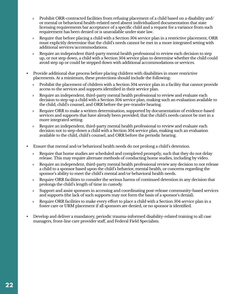- » Prohibit ORR-contracted facilities from refusing placement of a child based on a disability and/ or mental or behavioral health-related need absent individualized documentation that state licensing requirements bar acceptance of a specific child and a request for a variance from such requirement has been denied or is unavailable under state law.
- » Require that before placing a child with a Section 504 service plan in a restrictive placement, ORR must explicitly determine that the child's needs cannot be met in a more integrated setting with additional services/accommodations.
- » Require an independent third-party mental health professional to review each decision to step up, or not step down, a child with a Section 504 service plan to determine whether the child could avoid step up or could be stepped down with additional accommodations or services.
- Provide additional due process before placing children with disabilities in more restrictive placements. At a minimum, these protections should include the following:
	- » Prohibit the placement of children with a Section 504 service plan in a facility that cannot provide access to the services and supports identified in their service plan.
	- » Require an independent, third-party mental health professional to review and evaluate each decision to step-up a child with a Section 504 service plan, making such an evaluation available to the child, child's counsel, and ORR before the pre-transfer hearing.
	- » Require ORR to make a written determination, supported by documentation of evidence-based services and supports that have already been provided, that the child's needs cannot be met in a more integrated setting.
	- » Require an independent, third-party mental health professional to review and evaluate each decision not to step-down a child with a Section 504 service plan, making such an evaluation available to the child, child's counsel, and ORR before the periodic hearing.
- Ensure that mental and/or behavioral health needs do not prolong a child's detention.
	- » Require that home studies are scheduled and completed promptly, such that they do not delay release. This may require alternate methods of conducting home studies, including by video.
	- » Require an independent, third-party mental health professional review any decision to not release a child to a sponsor based upon the child's behavior, mental health, or concerns regarding the sponsor's ability to meet the child's mental and/or behavioral health needs.
	- » Require ORR facilities to consider the serious harms of continued detention in any decision that prolongs the child's length of time in custody.
	- » Support and assist sponsors in accessing and coordinating post-release community-based services and supports (the lack of such supports may not form the basis of a sponsor's denial).
	- » Require ORR facilities to make every effort to place a child with a Section 504 service plan in a foster care or URM placement if all sponsors are denied, or no sponsor is identified.
- Develop and deliver a mandatory, periodic trauma-informed disability-related training to all case managers, front-line care provider staff, and Federal Field Specialists.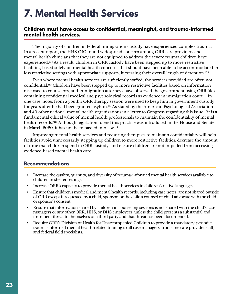# <span id="page-22-0"></span>**7. Mental Health Services**

#### **Children must have access to confidential, meaningful, and trauma-informed mental health services.**

The majority of children in federal immigration custody have experienced complex trauma. In a recent report, the HHS OIG found widespread concern among ORR care providers and mental health clinicians that they are not equipped to address the severe trauma children have experienced.<sup>108</sup> As a result, children in ORR custody have been stepped up to more restrictive facilities, based solely on mental health concerns that should have been able to be accommodated in less restrictive settings with appropriate supports, increasing their overall length of detention.<sup>[109](#page-39-0)</sup>

Even where mental health services are sufficiently staffed, the services provided are often not confidential[.110](#page-39-0) Children have been stepped up to more restrictive facilities based on information disclosed to counselors, and immigration attorneys have observed the government using ORR files containing confidential medical and psychological records as evidence in immigration court.<sup>III</sup> In one case, notes from a youth's ORR therapy session were used to keep him in government custody for years after he had been granted asylum.[112](#page-39-0) As stated by the American Psychological Association and 40 other national mental health organizations in a letter to Congress regarding this issue, "it is a fundamental ethical value of mental health professionals to maintain the confidentiality of mental health records.["113](#page-39-0) Although legislation to end this practice was introduced in the House and Senate in March 2020, it has not been passed into law.[114](#page-39-0)

Improving mental health services and requiring therapists to maintain confidentiality will help facilities avoid unnecessarily stepping up children to more restrictive facilities, decrease the amount of time that children spend in ORR custody, and ensure children are not impeded from accessing evidence-based mental health care.

- Increase the quality, quantity, and diversity of trauma-informed mental health services available to children in shelter settings.
- Increase ORR's capacity to provide mental health services in children's native languages.
- Ensure that children's medical and mental health records, including case notes, are not shared outside of ORR except if requested by a child, sponsor, or the child's counsel or child advocate with the child or sponsor's consent.
- Ensure that information shared by children in counseling sessions is not shared with the child's case managers or any other ORR, HHS, or DHS employees, unless the child presents a substantial and imminent threat to themselves or a third party and that threat has been documented.
- Require ORR's Division of Health for Unaccompanied Children to provide a mandatory, periodic trauma-informed mental health-related training to all case managers, front-line care provider staff, and federal field specialists.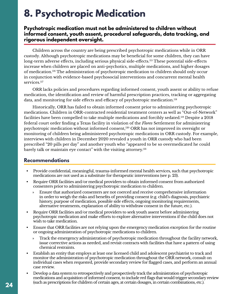# <span id="page-23-0"></span>**8. Psychotropic Medication**

### **Psychotropic medication must not be administered to children without informed consent, youth assent, procedural safeguards, data tracking, and rigorous independent oversight.**

Children across the country are being prescribed psychotropic medications while in ORR custody. Although psychotropic medications may be beneficial for some children, they can have long-term adverse effects, including serious physical side-effects.<sup>115</sup> These potential side-effects increase when children are placed on anti-psychotics, multiple medications, and higher dosages of medication[.116](#page-39-0) The administration of psychotropic medication to children should only occur in conjunction with evidence-based psychosocial interventions and concurrent mental health services.<sup>[117](#page-40-0)</sup>

ORR lacks policies and procedures regarding informed consent, youth assent or ability to refuse medication, the identification and review of harmful prescription practices, tracking or aggregating data, and monitoring for side effects and efficacy of psychotropic medication.<sup>118</sup>

Historically, ORR has failed to obtain informed consent prior to administering psychotropic medications. Children in ORR-contracted residential treatment centers as well as "Out-of-Network" facilities have been compelled to take multiple medications and forcibly sedated[.119](#page-40-0) Despite a 2018 federal court order finding a Texas facility in violation of the *Flores* Settlement for administering psychotropic medication without informed consent,<sup>[120](#page-40-0)</sup> ORR has not improved its oversight or monitoring of children being administered psychotropic medications in ORR custody. For example, interviews with children in December 2020 revealed a youth in ORR custody who had been prescribed "20 pills per day" and another youth who "appeared to be so overmedicated he could barely talk or maintain eye contact" with the visiting attorney.<sup>[121](#page-40-0)</sup>

- Provide confidential, meaningful, trauma-informed mental health services, such that psychotropic medications are not used as a substitute for therapeutic interventions (see p. 23).
- Require ORR facilities and/or medical providers to obtain informed consent from authorized consenters prior to administering psychotropic medication to children.
	- » Ensure that authorized consenters are not coerced and receive comprehensive information in order to weigh the risks and benefits of providing consent (e.g. child's diagnosis, psychiatric history, purpose of medication, possible side effects, ongoing monitoring requirements, alternative treatments, explanation of ability to withdraw consent in the future, etc.).
- Require ORR facilities and/or medical providers to seek youth assent before administering psychotropic medication and make efforts to explore alternative interventions if the child does not wish to take medication.
- Ensure that ORR facilities are not relying upon the emergency medication exception for the routine or ongoing administration of psychotropic medications to children.
	- » Track the emergency administration of psychotropic medication throughout the facility network, issue corrective actions as needed, and revisit contracts with facilities that have a pattern of using chemical restraints.
- Establish an entity that employs at least one licensed child and adolescent psychiatrist to track and monitor the administration of psychotropic medication throughout the ORR network, consult on individual cases when requested, provide secondary review for flagged cases, and perform an annual case review.
- Develop a data system to retrospectively and prospectively track the administration of psychotropic medications and acquisition of informed consent, to include red flags that would trigger secondary review (such as prescriptions for children of certain ages, at certain dosages, in certain combinations, etc.).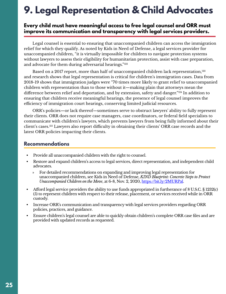# <span id="page-24-0"></span>**9. Legal Representation & Child Advocates**

## **Every child must have meaningful access to free legal counsel and ORR must improve its communication and transparency with legal services providers.**

Legal counsel is essential to ensuring that unaccompanied children can access the immigration relief for which they qualify. As noted by Kids in Need of Defense, a legal services provider for unaccompanied children, "it is virtually impossible for children to navigate protection systems without lawyers to assess their eligibility for humanitarian protection, assist with case preparation, and advocate for them during adversarial hearings.["122](#page-40-0)

Based on a 2017 report, more than half of unaccompanied children lack representation,<sup>[123](#page-40-0)</sup> and research shows that legal representation is critical for children's immigration cases. Data from 2018-19 shows that immigration judges were "70 times more likely to grant relief to unaccompanied children with representation than to those without it—making plain that attorneys mean the difference between relief and deportation, and by extension, safety and danger.["124](#page-40-0) In addition to ensuring that children receive meaningful hearings, the presence of legal counsel improves the efficiency of immigration court hearings, conserving limited judicial resources.

ORR's policies—or lack thereof—sometimes serve to obstruct lawyers' ability to fully represent their clients. ORR does not require case managers, case coordinators, or federal field specialists to communicate with children's lawyers, which prevents lawyers from being fully informed about their client's cases.[125](#page-40-0) Lawyers also report difficulty in obtaining their clients' ORR case records and the latest ORR policies impacting their clients.

- Provide all unaccompanied children with the right to counsel.
- Restore and expand children's access to legal services, direct representation, and independent child advocates.
	- » For detailed recommendations on expanding and improving legal representation for unaccompanied children, see Kids in Need of Defense, *KIND Blueprint: Concrete Steps to Protect Unaccompanied Children on the Move*, at 6-8, Nov. 2, 2020, [https://bit.ly/2MURPal.](https://bit.ly/2MURPal)
- Afford legal service providers the ability to use funds appropriated in furtherance of 8 U.S.C. § 1232(c) (5) to represent children with respect to their release, placement, or services received while in ORR custody.
- Increase ORR's communication and transparency with legal services providers regarding ORR policies, practices, and guidance.
- Ensure children's legal counsel are able to quickly obtain children's complete ORR case files and are provided with updated records as requested.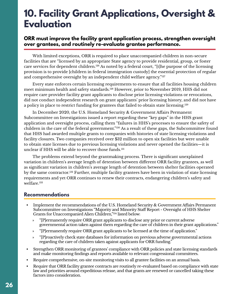# <span id="page-25-0"></span>**10. Facility Grant Applications, Oversight & Evaluation**

### **ORR must improve the facility grant application process, strengthen oversight over grantees, and routinely re-evaluate grantee performance.**

With limited exceptions, ORR is required to place unaccompanied children in non-secure facilities that are "licensed by an appropriate State agency to provide residential, group, or foster care services for dependent children.<sup>126</sup> As noted by a federal court, "[t]he purpose of the licensing provision is to provide [children in federal immigration custody] the essential protection of regular and comprehensive oversight by an independent child welfare agency."<sup>127</sup>

Every state enforces certain licensing requirements to ensure that all facilities housing children meet minimum health and safety standards[.128](#page-40-0) However, prior to November 2019, HHS did not require care provider facility grant applicants to disclose prior licensing violations or revocations, did not conduct independent research on grant applicants' prior licensing history, and did not have a policy in place to restrict funding for grantees that failed to obtain state licensing.<sup>129</sup>

In December 2020, the U.S. Homeland Security & Government Affairs Permanent Subcommittee on Investigations issued a report regarding these "key gaps" in the HHS grant application and oversight process, calling them "failures in HHS's processes to ensure the safety of children in the care of the federal government."<sup>130</sup> As a result of these gaps, the Subcommittee found that HHS had awarded multiple grants to companies with histories of state licensing violations and facility closures. Two companies received over \$32 million to open six facilities but were unable to obtain state licenses due to previous licensing violations and never opened the facilities—it is unclear if HHS will be able to recover those funds.<sup>131</sup>

The problems extend beyond the grantmaking process. There is significant unexplained variation in children's average length of detention between different ORR facility grantees, as well as significant variation in children's average length of detention between shelter facilities operated by the same contractor.<sup>[132](#page-40-0)</sup> Further, multiple facility grantees have been in violation of state licensing requirements and yet ORR continues to renew their contracts, endangering children's safety and welfare.<sup>133</sup>

- Implement the recommendations of the U.S. Homeland Security & Government Affairs Permanent Subcommittee on Investigations "Majority and Minority Staff Report - Oversight of HHS Shelter Grants for Unaccompanied Alien Children,"[134](#page-41-0) listed below:
	- » "[P]ermanently require ORR grant applicants to disclose any prior or current adverse governmental action taken against them regarding the care of children in their grant applications."
	- » "[P]ermanently require ORR grant applicants to be licensed at the time of application."
	- » "[P]roactively check state databases for information on previous adverse governmental actions regarding the care of children taken against applicants for ORR funding."
- Strengthen ORR monitoring of grantees' compliance with ORR policies and state licensing standards and make monitoring findings and reports available to relevant congressional committees.
- Require comprehensive, on-site monitoring visits to all grantee facilities on an annual basis.
- Require that ORR facility grantee contracts are routinely re-evaluated based on compliance with state law and priorities around expeditious release, and that grants are renewed or cancelled taking these factors into consideration.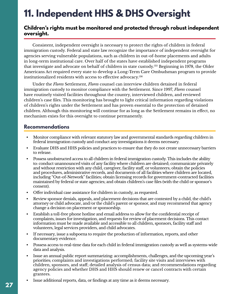# **11. Independent HHS & DHS Oversight**

### **Children's rights must be monitored and protected through robust independent oversight.**

Consistent, independent oversight is necessary to protect the rights of children in federal immigration custody. Federal and state law recognize the importance of independent oversight for agencies serving vulnerable populations, such as children in out-of-home placements and adults in long-term institutional care. Over half of the states have established independent programs that investigate and advocate on behalf of children in state custody[.135](#page-41-0) Beginning in 1978, the Older Americans Act required every state to develop a Long-Term Care Ombudsman program to provide institutionalized residents with access to effective advocacy[.136](#page-41-0)

Under the *Flores* Settlement, *Flores* counsel can interview children detained in federal immigration custody to monitor compliance with the Settlement. Since 1997, *Flores* counsel have routinely visited facilities throughout the country, interviewed children, and reviewed children's case files. This monitoring has brought to light critical information regarding violations of children's rights under the Settlement and has proven essential to the protection of detained children. Although this monitoring will continue for as long as the Settlement remains in effect, no mechanism exists for this oversight to continue permanently.

- Monitor compliance with relevant statutory law and governmental standards regarding children in federal immigration custody and conduct any investigations it deems necessary.
- Evaluate DHS and HHS policies and practices to ensure that they do not create unnecessary barriers to release.
- Possess unobstructed access to all children in federal immigration custody. This includes the ability to: conduct unannounced visits of any facility where children are detained; communicate privately and without restriction with any child, caregiver, facility staff, or volunteers; obtain the policies and procedures, administrative records, and documents of all facilities where children are located, including "Out-of-Network" facilities; obtain licensing records for government-contracted facilities maintained by federal or state agencies; and obtain children's case files (with the child or sponsor's consent).
- Offer individual case assistance for children in custody, as requested.
- Review sponsor denials, appeals, and placement decisions that are contested by a child, the child's attorney or child advocate, and/or the child's parent or sponsor, and may recommend that agency change a decision on placement or sponsorship.
- Establish a toll-free phone hotline and email address to allow for the confidential receipt of complaints, issues for investigation, and requests for review of placement decisions. This contact information must be made available and accessible to all children, sponsors, facility staff and volunteers, legal services providers, and child advocates.
- If necessary, issue a subpoena to require the production of information, reports, and other documentary evidence.
- Possess access to real-time data for each child in federal immigration custody as well as systems-wide data and analysis.
- Issue an annual public report summarizing: accomplishments, challenges, and the upcoming year's priorities; complaints and investigations performed; facility site visits and interviews with children, sponsors, and staff; detailed analysis of census data; and recommendations regarding agency policies and whether DHS and HHS should renew or cancel contracts with certain grantees.
- Issue additional reports, data, or findings at any time as it deems necessary.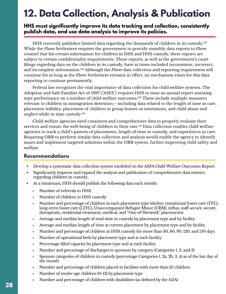# <span id="page-27-0"></span>**12. Data Collection, Analysis & Publication**

### **HHS must significantly improve its data tracking and collection, consistently publish data, and use data analysis to improve its policies.**

HHS currently publishes limited data regarding the thousands of children in its custody.[137](#page-41-0) While the *Flores* Settlement requires the government to provide monthly data reports to *Flores* counsel that list certain information for children in DHS and HHS custody, these reports are subject to certain confidentiality requirements. These reports, as well as the government's court filings regarding data on the children in its custody, have at times included inconsistent, incorrect, and incomplete information[.138](#page-41-0) Although the *Flores* data collection and reporting requirement will continue for as long as the *Flores* Settlement remains in effect, no mechanism exists for this data reporting to continue permanently.

Federal law recognizes the vital importance of data collection for child welfare systems. The Adoption and Safe Families Act of 1997 ("ASFA") requires HHS to issue an annual report assessing state performance on a number of child welfare outcomes.<sup>139</sup> These include multiple measures relevant to children in immigration detention – including data related to the length of time in care, placement stability, placement of children in group homes or institutions, and child abuse and neglect while in state custody[.140](#page-41-0)

Child welfare agencies need consistent and comprehensive data to properly evaluate their services and ensure the well-being of children in their care.<sup>141</sup> Data collection enables child welfare agencies to track a child's pattern of placements, length of time in custody, and experiences in care. Requiring ORR to perform similar data collection and analysis would enable the agency to identify issues and implement targeted solutions within the ORR system, further improving child safety and welfare.

- Develop a systematic data collection system modeled on the ASFA Child Welfare Outcomes Report.
- Significantly improve and expand the analysis and publication of comprehensive data metrics regarding children in custody.
- At a minimum, HHS should publish the following data each month:
	- » Number of referrals to HHS
	- » Number of children in HHS custody
	- » Number and percentage of children in each placement type (shelter, transitional foster care (TFC), long-term foster care (LTFC), Unaccompanied Refugee Minor (URM), influx, staff-secure, secure, therapeutic, residential treatment, medical, and "Out-of-Network" placements)
	- » Average and median length of total time in custody by placement type and by facility
	- » Average and median length of time at current placement by placement type and by facility
	- » Number and percentage of children in HHS custody for more than 30, 60, 90, 120, and 150 days
	- » Number of operational beds by placement type and at each facility
	- » Percentage filled capacity by placement type and at each facility
	- » Number and percentage of discharges to sponsors by category (Categories 1, 2, and 3)
	- » Sponsor categories of children in custody (percentage Categories 1, 2a, 2b, 3, 4) as of the last day of the month
	- » Number and percentage of children placed in facilities with more than 25 children
	- » Number of tender age children (0-12) by placement type
	- » Number and percentage of children with disabilities (as defined by the ADA)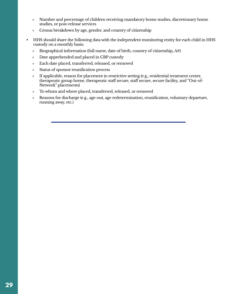- » Number and percentage of children receiving mandatory home studies, discretionary home studies, or post-release services
- » Census breakdown by age, gender, and country of citizenship
- HHS should share the following data with the independent monitoring entity for each child in HHS custody on a monthly basis:
	- » Biographical information (full name, date of birth, country of citizenship, A#)
	- » Date apprehended and placed in CBP custody
	- » Each date placed, transferred, released, or removed
	- » Status of sponsor reunification process
	- » If applicable, reason for placement in restrictive setting (e.g., residential treatment center, therapeutic group home, therapeutic staff secure, staff secure, secure facility, and "Out-of-Network" placements)
	- » To whom and where placed, transferred, released, or removed
	- » Reasons for discharge (e.g., age-out, age redetermination, reunification, voluntary departure, running away, etc.)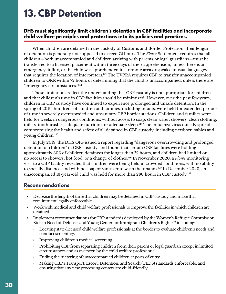# <span id="page-29-0"></span>**13. CBP Detention**

## **DHS must significantly limit children's detention in CBP facilities and incorporate child welfare principles and protections into its policies and practices.**

When children are detained in the custody of Customs and Border Protection, their length of detention is generally not supposed to exceed 72 hours. The *Flores* Settlement requires that all children—both unaccompanied and children arriving with parents or legal guardians—must be transferred to a licensed placement within three days of their apprehension, unless there is an emergency, influx, or the child was apprehended in a remote area or speaks unusual languages that requires the location of interpreters.<sup>[142](#page-41-0)</sup> The TVPRA requires CBP to transfer unaccompanied children to ORR within 72 hours of determining that the child is unaccompanied, unless there are "emergency circumstances."[143](#page-41-0)

These limitations reflect the understanding that CBP custody is not appropriate for children and that children's time in CBP facilities should be minimized. However, over the past few years, children in CBP custody have continued to experience prolonged and unsafe detention. In the spring of 2019, hundreds of children and families, including infants, were held for extended periods of time in severely overcrowded and unsanitary CBP border stations. Children and families were held for weeks in dangerous conditions, without access to soap, clean water, showers, clean clothing, toilets, toothbrushes, adequate nutrition, or adequate sleep.<sup>144</sup> The influenza virus quickly spread compromising the health and safety of all detained in CBP custody, including newborn babies and young children.[145](#page-41-0)

In July 2019, the DHS OIG issued a report regarding "dangerous overcrowding and prolonged detention of children" in CBP custody, and found that certain CBP facilities were holding approximately 30% of children detainees for longer than 72 hours, and children had limited or no access to showers, hot food, or a change of clothes[.146](#page-41-0) In November 2020, a *Flores* monitoring visit to a CBP facility revealed that children were being held in crowded conditions, with no ability to socially distance, and with no soap or sanitizer to wash their hands.<sup>147</sup> In December 2020, an unaccompanied 13-year-old child was held for more than 280 hours in CBP custody.<sup>148</sup>

- Decrease the length of time that children may be detained in CBP custody and make that requirement legally enforceable.
- Work with medical and child welfare professionals to improve the facilities in which children are detained.
- Implement recommendations for CBP standards developed by the Women's Refugee Commission, Kids in Need of Defense, and Young Center for Immigrant Children's Rights<sup>149</sup> including:
	- » Locating state-licensed child welfare professionals at the border to evaluate children's needs and conduct screenings
	- » Improving children's medical screening
	- » Prohibiting CBP from separating children from their parent or legal guardian except in limited circumstances and as overseen by the child welfare professional
	- » Ending the metering of unaccompanied children at ports of entry
	- » Making CBP's Transport, Escort, Detention, and Search (TEDS) standards enforceable, and ensuring that any new processing centers are child-friendly.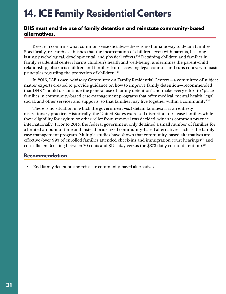# <span id="page-30-0"></span>**14. ICE Family Residential Centers**

### **DHS must end the use of family detention and reinstate community-based alternatives.**

Research confirms what common sense dictates—there is no humane way to detain families. Specifically, research establishes that the incarceration of children, even with parents, has longlasting psychological, developmental, and physical effects.<sup>150</sup> Detaining children and families in family residential centers harms children's health and well-being, undermines the parent-child relationship, obstructs children and families from accessing legal counsel, and runs contrary to basic principles regarding the protection of children.<sup>[151](#page-42-0)</sup>

In 2016, ICE's own Advisory Committee on Family Residential Centers—a committee of subject matter experts created to provide guidance on how to improve family detention—recommended that DHS "should discontinue the general use of family detention" and make every effort to "place families in community-based case-management programs that offer medical, mental health, legal, social, and other services and supports, so that families may live together within a community."<sup>[152](#page-42-0)</sup>

There is no situation in which the government *must* detain families; it is an entirely discretionary practice. Historically, the United States exercised discretion to release families while their eligibility for asylum or other relief from removal was decided, which is common practice internationally. Prior to 2014, the federal government only detained a small number of families for a limited amount of time and instead prioritized community-based alternatives such as the family case management program. Multiple studies have shown that community-based alternatives are effective (over 99% of enrolled families attended check-ins and immigration court hearings)<sup>153</sup> and cost-efficient (costing between 70 cents and \$17 a day versus the \$373 daily cost of detention).[154](#page-42-0)

## **Recommendation**

• End family detention and reinstate community-based alternatives.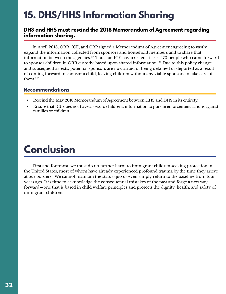# <span id="page-31-0"></span>**15. DHS/HHS Information Sharing**

### **DHS and HHS must rescind the 2018 Memorandum of Agreement regarding information sharing.**

In April 2018, ORR, ICE, and CBP signed a Memorandum of Agreement agreeing to vastly expand the information collected from sponsors and household members and to share that information between the agencies.[155](#page-42-0) Thus far, ICE has arrested at least 170 people who came forward to sponsor children in ORR custody, based upon shared information.[156](#page-42-0) Due to this policy change and subsequent arrests, potential sponsors are now afraid of being detained or deported as a result of coming forward to sponsor a child, leaving children without any viable sponsors to take care of them.[157](#page-42-0)

## **Recommendations**

- Rescind the May 2018 Memorandum of Agreement between HHS and DHS in its entirety.
- Ensure that ICE does not have access to children's information to pursue enforcement actions against families or children.

# **Conclusion**

First and foremost, we must do no further harm to immigrant children seeking protection in the United States, most of whom have already experienced profound trauma by the time they arrive at our borders. We cannot maintain the status quo or even simply return to the baseline from four years ago. It is time to acknowledge the consequential mistakes of the past and forge a new way forward—one that is based in child welfare principles and protects the dignity, health, and safety of immigrant children.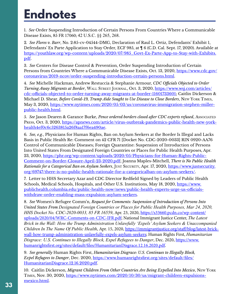# <span id="page-32-0"></span>**Endnotes**

[1](#page-4-0). *See* Order Suspending Introduction of Certain Persons From Countries Where a Communicable Disease Exists, 85 FR 17060; 42 U.S.C. §§ 265, 268.

[2](#page-4-0)*. See Flores v. Barr*, No. 2:85-cv-04544-DMG, Declaration of Raul L. Ortiz, Defendants' Exhibit 1, Defendants' Ex Parte Application to Stay Order, ECF 985, at ¶ 6 (C.D. Cal. Sept. 17, 2020). Available at [https://youthlaw.org/wp-content/uploads/2020/07/985\\_Govt-Ex-Parte-App-to-Stay-with-Exhibits.](https://youthlaw.org/wp-content/uploads/2020/07/985_Govt-Ex-Parte-App-to-Stay-with-Exhibits.pdf) [pdf.](https://youthlaw.org/wp-content/uploads/2020/07/985_Govt-Ex-Parte-App-to-Stay-with-Exhibits.pdf)

[3](#page-4-0). *See* Centers for Disease Control & Prevention, Order Suspending Introduction of Certain Persons from Countries Where a Communicable Disease Exists, Oct. 13, 2020, [https://www.cdc.gov/](https://www.cdc.gov/coronavirus/2019-ncov/order-suspending-introduction-certain-persons.html) [coronavirus/2019-ncov/order-suspending-introduction-certain-persons.html](https://www.cdc.gov/coronavirus/2019-ncov/order-suspending-introduction-certain-persons.html).

[4.](#page-4-0) *See* Michelle Hackman, Andrew Restuccia & Stephanie Armour, *CDC Officials Objected to Order Turning Away Migrants at Border*, Wall Street Journal, Oct. 3, 2020, [https://www.wsj.com/articles/](https://www.wsj.com/articles/cdc-officials-objected-to-order-turning-away-migrants-at-border-11601733601) [cdc-officials-objected-to-order-turning-away-migrants-at-border-11601733601;](https://www.wsj.com/articles/cdc-officials-objected-to-order-turning-away-migrants-at-border-11601733601) Caitlin Dickerson & Michael D. Shear, *Before Covid-19, Trump Aide Sought to Use Disease to Close Borders*, New York Times, May 3, 2020, [https://www.nytimes.com/2020/05/03/us/coronavirus-immigration-stephen-miller](https://www.nytimes.com/2020/05/03/us/coronavirus-immigration-stephen-miller-public-health.html)[public-health.html.](https://www.nytimes.com/2020/05/03/us/coronavirus-immigration-stephen-miller-public-health.html)

[5.](#page-4-0) *See* Jason Dearen & Garance Burke, *Pence ordered borders closed after CDC experts refused*, Associated Press, Oct. 3, 2020, [https://apnews.com/article/virus-outbreak-pandemics-public-health-new-york](https://apnews.com/article/virus-outbreak-pandemics-public-health-new-york-health4ef0c6c5263815a26f8aa17f6ea490ae)[health4ef0c6c5263815a26f8aa17f6ea490ae](https://apnews.com/article/virus-outbreak-pandemics-public-health-new-york-health4ef0c6c5263815a26f8aa17f6ea490ae).

[6](#page-4-0)*. See, e.g.*, Physicians for Human Rights, Ban on Asylum Seekers at the Border Is Illegal and Lacks Basis in Public Health Re: Comment on 42 CFR 71 [Docket No. CDC-2020-0033] RIN 0920-AA76 Control of Communicable Diseases; Foreign Quarantine: Suspension of Introduction of Persons Into United States From Designated Foreign Countries or Places for Public Health Purposes, Apr. 23, 2020, [https://phr.org/wp-content/uploads/2020/05/Physicians-for-Human-Rights-Public-](https://phr.org/wp-content/uploads/2020/05/Physicians-for-Human-Rights-Public-Comment-on-Border-Closure-April-23-2020.pdf)[Comment-on-Border-Closure-April-23-2020.pdf](https://phr.org/wp-content/uploads/2020/05/Physicians-for-Human-Rights-Public-Comment-on-Border-Closure-April-23-2020.pdf); Joanna Maples-Mitchell, *There is No Public Health Rationale for a Categorical Ban on Asylum Seekers*, Just Security, Apr. 17, 2020, [https://www.justsecurity.](https://www.justsecurity.org/69747/there-is-no-public-health-rationale-for-a-categoricalban-on-asylum-seekers/) [org/69747/there-is-no-public-health-rationale-for-a-categoricalban-on-asylum-seekers/.](https://www.justsecurity.org/69747/there-is-no-public-health-rationale-for-a-categoricalban-on-asylum-seekers/)

[7](#page-4-0). Letter to HHS Secretary Azar and CDC Director Redfield Signed by Leaders of Public Health Schools, Medical Schools, Hospitals, and Other U.S. Institutions, May 18, 2020, [https://www.](https://www.publichealth.columbia.edu/public-health-now/news/public-health-experts-urge-us-officials-withdraw-order-enabling-mass-expulsion-asylum-seekers) [publichealth.columbia.edu/public-health-now/news/public-health-experts-urge-us-officials](https://www.publichealth.columbia.edu/public-health-now/news/public-health-experts-urge-us-officials-withdraw-order-enabling-mass-expulsion-asylum-seekers)[withdraw-order-enabling-mass-expulsion-asylum-seekers](https://www.publichealth.columbia.edu/public-health-now/news/public-health-experts-urge-us-officials-withdraw-order-enabling-mass-expulsion-asylum-seekers).

[8](#page-4-0). *See* Women's Refugee Comm'n, *Request for Comments: Suspension of Introduction of Persons Into United States From Designated Foreign Countries or Places for Public Health Purposes, Mar 24, 2020, HHS Docket No. CDC-2020-0033, 85 FR 16559*, Apr. 23, 2020, [https://s33660.pcdn.co/wp-content/](https://s33660.pcdn.co/wp-content/uploads/2020/04/WRC-Comments-on-CDC-IFR.pdf) [uploads/2020/04/WRC-Comments-on-CDC-IFR.pdf](https://s33660.pcdn.co/wp-content/uploads/2020/04/WRC-Comments-on-CDC-IFR.pdf); National Immigrant Justice Center, *The Latest Brick in the Wall: How the Trump Administration Unlawfully 'Expels' Asylum Seekers & Unaccompanied Children In The Name Of Public Health*, Apr. 15, 2020, [https://immigrantjustice.org/staff/blog/latest-brick](https://immigrantjustice.org/staff/blog/latest-brick-wall-how-trump-administration-unlawfully-expels-asylum-seekers)[wall-how-trump-administration-unlawfully-expels-asylum-seekers](https://immigrantjustice.org/staff/blog/latest-brick-wall-how-trump-administration-unlawfully-expels-asylum-seekers); Human Rights First, *Humanitarian Disgrace: U.S. Continues to Illegally Block, Expel Refugees to Danger*, Dec. 2020, [https://www.](https://www.humanrightsfirst.org/sites/default/files/HumanitarianDisgrace.12.16.2020.pdf) [humanrightsfirst.org/sites/default/files/HumanitarianDisgrace.12.16.2020.pdf.](https://www.humanrightsfirst.org/sites/default/files/HumanitarianDisgrace.12.16.2020.pdf)

[9](#page-4-0). *See generally* Human Rights First, *Humanitarian Disgrace: U.S. Continues to Illegally Block, Expel Refugees to Danger*, Dec. 2020, [https://www.humanrightsfirst.org/sites/default/files/](https://www.humanrightsfirst.org/sites/default/files/HumanitarianDisgrace.12.16.2020.pdf) [HumanitarianDisgrace.12.16.2020.pdf](https://www.humanrightsfirst.org/sites/default/files/HumanitarianDisgrace.12.16.2020.pdf).

[10](#page-5-0). Caitlin Dickerson, *Migrant Children From Other Countries Are Being Expelled Into Mexico*, New York TIMES, Nov. 30, 2020, [https://www.nytimes.com/2020/10/30/us/migrant-children-expulsions](https://www.nytimes.com/2020/10/30/us/migrant-children-expulsions-mexico.html)[mexico.html](https://www.nytimes.com/2020/10/30/us/migrant-children-expulsions-mexico.html).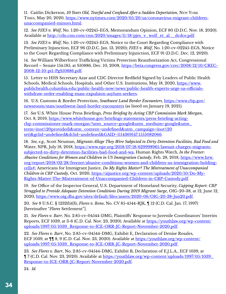<span id="page-33-0"></span>[11.](#page-5-0) Caitlin Dickerson, *10 Years Old, Tearful and Confused After a Sudden Deportation*, New York TIMES, May 20, 2020, [https://www.nytimes.com/2020/05/20/us/coronavirus-migrant-children](https://www.nytimes.com/2020/05/20/us/coronavirus-migrant-children-unaccompanied-minors.html)[unaccompanied-minors.html](https://www.nytimes.com/2020/05/20/us/coronavirus-migrant-children-unaccompanied-minors.html).

[12.](#page-5-0) *See PJES v. Wolf*, No. 1:20-cv-02245-EGS, Memorandum Opinion, ECF 80 (D.D.C. Nov. 18, 2020). Available at [http://cdn.cnn.com/cnn/2020/images/11/18/pjes\\_v\\_wolf\\_et\\_al\\_\\_dcdce.pdf.](http://cdn.cnn.com/cnn/2020/images/11/18/pjes_v_wolf_et_al__dcdce.pdf)

[13.](#page-5-0) *See PJES v. Wolf*, No. 1:20-cv-02245-EGS, Notice to the Court Regarding Compliance with Preliminary Injunction, ECF 96 (D.D.C. Jan. 13, 2020); *PJES v. Wolf*, No. 1:20-cv-02245-EGS, Notice to the Court Regarding Compliance with Preliminary Injunction, ECF 91 (D.D.C. Dec. 12, 2020).

[14](#page-5-0)*. See* William Wilberforce Trafficking Victims Protection Reauthorization Act, Congressional Record – Senate 154:185, at S10886, Dec. 10, 2008, [https://beta.congress.gov/crec/2008/12/10/CREC-](https://beta.congress.gov/crec/2008/12/10/CREC-2008-12-10-pt1-PgS10886.pdf)[2008-12-10-pt1-PgS10886.pdf](https://beta.congress.gov/crec/2008/12/10/CREC-2008-12-10-pt1-PgS10886.pdf).

[15](#page-4-0). Letter to HHS Secretary Azar and CDC Director Redfield Signed by Leaders of Public Health Schools, Medical Schools, Hospitals, and Other U.S. Institutions, May 18, 2020, [https://www.](https://www.publichealth.columbia.edu/public-health-now/news/public-health-experts-urge-us-officials) [publichealth.columbia.edu/public-health-now/news/public-health-experts-urge-us-officials](https://www.publichealth.columbia.edu/public-health-now/news/public-health-experts-urge-us-officials)[withdraw-order-enabling-mass-expulsion-asylum-seekers](https://www.publichealth.columbia.edu/public-health-now/news/public-health-experts-urge-us-officials).

[16.](#page-5-0) U.S. Customs & Border Protection, *Southwest Land Border Encounters*, [https://www.cbp.gov/](https://www.cbp.gov/newsroom/stats/southwest-land-border-encounters) [newsroom/stats/southwest-land-border-encounters](https://www.cbp.gov/newsroom/stats/southwest-land-border-encounters) (as listed on January 19, 2021).

[17](#page-6-0)*. See* U.S. White House Press Briefings, *Press Briefing by Acting CBP Commission Mark Morgan*, Oct. 8, 2019, [https://www.whitehouse.gov/briefings-statements/press-briefing-acting](https://www.whitehouse.gov/briefings-statements/press-briefing-acting-cbp-commissioner-mark-morgan/?utm_source=google&utm_medium=google&utm_term=(not%20provided)&utm_content=undefined&utm_campaign=(not%20set)&gclid=undefined&dclid=undefined&GAID=1114369147.1555082066)[cbp-commissioner-mark-morgan/?utm\\_source=google&utm\\_medium=google&utm\\_](https://www.whitehouse.gov/briefings-statements/press-briefing-acting-cbp-commissioner-mark-morgan/?utm_source=google&utm_medium=google&utm_term=(not%20provided)&utm_content=undefined&utm_campaign=(not%20set)&gclid=undefined&dclid=undefined&GAID=1114369147.1555082066) [term=\(not%20provided\)&utm\\_content=undefined&utm\\_campaign=\(not%20](https://www.whitehouse.gov/briefings-statements/press-briefing-acting-cbp-commissioner-mark-morgan/?utm_source=google&utm_medium=google&utm_term=(not%20provided)&utm_content=undefined&utm_campaign=(not%20set)&gclid=undefined&dclid=undefined&GAID=1114369147.1555082066) [set\)&gclid=undefined&dclid=undefined&GAID=1114369147.1555082066](https://www.whitehouse.gov/briefings-statements/press-briefing-acting-cbp-commissioner-mark-morgan/?utm_source=google&utm_medium=google&utm_term=(not%20provided)&utm_content=undefined&utm_campaign=(not%20set)&gclid=undefined&dclid=undefined&GAID=1114369147.1555082066).

[18](#page-6-0)*. See, e.g.,* Scott Neuman, *Migrants Allege They Were Subjected to Dirty Detention Facilities, Bad Food and*  Water, NPR, July 18, 2018, [https://www.npr.org/2018/07/18/629998961/lawsuit-charges-migrants](https://www.npr.org/2018/07/18/629998961/lawsuit-charges-migrants-subjected-to-dirty-detention-facilities-bad-food-and-wa)[subjected-to-dirty-detention-facilities-bad-food-and-wa;](https://www.npr.org/2018/07/18/629998961/lawsuit-charges-migrants-subjected-to-dirty-detention-facilities-bad-food-and-wa) Human Rights Watch, *In the Freezer: Abusive Conditions for Women and Children in US Immigration Custody*, Feb. 28, 2018, [https://www.hrw.](https://www.hrw.org/report/2018/02/28/freezer/abusive-conditions-women-and-children-us-immigration-holding-cells) [org/report/2018/02/28/freezer/abusive-conditions-women-and-children-us-immigration-holding](https://www.hrw.org/report/2018/02/28/freezer/abusive-conditions-women-and-children-us-immigration-holding-cells)[cells#;](https://www.hrw.org/report/2018/02/28/freezer/abusive-conditions-women-and-children-us-immigration-holding-cells) Americans for Immigrant Justice, *Do My Rights Matter? The Mistreatment of Unaccompanied Children in CBP Custody*, Oct. 2020, [https://aijustice.org/wp-content/uploads/2020/10/Do-My-](https://aijustice.org/wp-content/uploads/2020/10/Do-My-Rights-Matter-The-Mistreatment-of-Unaccompanied-Children-in-CBP-Custody.pdf)[Rights-Matter-The-Mistreatment-of-Unaccompanied-Children-in-CBP-Custody.pdf](https://aijustice.org/wp-content/uploads/2020/10/Do-My-Rights-Matter-The-Mistreatment-of-Unaccompanied-Children-in-CBP-Custody.pdf).

[19](#page-6-0)*. See* Office of the Inspector General, U.S. Department of Homeland Security, *Capping Report: CBP Struggled to Provide Adequate Detention Conditions During 2019 Migrant Surge*, OIG-20-38, at 12, June 12, 2020, <https://www.oig.dhs.gov/sites/default/files/assets/2020-06/OIG-20-38-Jun20.pdf>.

[20](#page-6-0)*. See* 8 U.S.C. § 1232(b)(3); *Flores v. Reno*, No. CV 85-4544-RJK, ¶ 12 (C.D. Cal. Jan. 17, 1997) [hereinafter "*Flores* Settlement"].

[21](#page-6-0)*. See Flores v. Barr*, No. 2:85-cv-04544-DMG, Plaintiffs' Response to Juvenile Coordinators' Interim Reports, ECF 1039, at 3-6 (C.D. Cal. Nov. 23, 2020). Available at [https://youthlaw.org/wp-content/](https://youthlaw.org/wp-content/uploads/1997/05/1039_Response-to-ICE-ORR-JC-Report-November-2020.pdf) [uploads/1997/05/1039\\_Response-to-ICE-ORR-JC-Report-November-2020.pdf.](https://youthlaw.org/wp-content/uploads/1997/05/1039_Response-to-ICE-ORR-JC-Report-November-2020.pdf)

[22](#page-6-0)*. See Flores v. Barr*, No. 2:85-cv-04544-DMG, Exhibit E, Declaration of Denise Rosales, ECF 1039, at  $\P$ [ 8, 9 (C.D. Cal. Nov. 23, 2020). Available at [https://youthlaw.org/wp-content/](https://youthlaw.org/wp-content/uploads/1997/05/1039_Response-to-ICE-ORR-JC-Report-November-2020.pdf) [uploads/1997/05/1039\\_Response-to-ICE-ORR-JC-Report-November-2020.pdf.](https://youthlaw.org/wp-content/uploads/1997/05/1039_Response-to-ICE-ORR-JC-Report-November-2020.pdf)

[23](#page-6-0)*. See Flores v. Barr*, No. 2:85-cv-04544-DMG, Exhibit B, Declaration of E.J.L.A., ECF 1039, at ¶ 7 (C.D. Cal. Nov. 23, 2020). Available at [https://youthlaw.org/wp-content/uploads/1997/05/1039\\_](https://youthlaw.org/wp-content/uploads/1997/05/1039_Response-to-ICE-ORR-JC-Report-November-2020.pdf) [Response-to-ICE-ORR-JC-Report-November-2020.pdf](https://youthlaw.org/wp-content/uploads/1997/05/1039_Response-to-ICE-ORR-JC-Report-November-2020.pdf).

[24](#page-6-0). *Id*.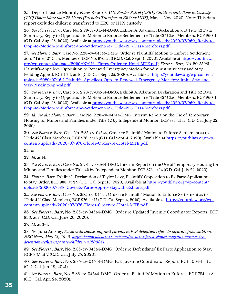<span id="page-34-0"></span>[25.](#page-6-0) Dep't of Justice Monthly *Flores* Reports, *U.S. Border Patrol (USBP) Children with Time In Custody (TIC) Hours More than 72 Hours (Excludes Transfers to ERO or HHS)*, May – Nov. 2020. Note: This data report excludes children transferred to ERO or HHS custody.

[26](#page-7-0)*. See Flores v. Barr*, Case No. 2:28-cv-04544-DMG, Exhibit A, Adamson Declaration and Title 42 Data Summary, Reply to Opposition to Motion to Enforce Settlement re "Title 42" Class Members, ECF 960-1 (C.D. Cal. Aug. 28, 2020). Available at [https://youthlaw.org/wp-content/uploads/2020/07/960\\_Reply-to-](https://youthlaw.org/wp-content/uploads/2020/07/960_Reply-to-Opp.-to-Motion-to-Enforce-the-Settlement-re-_Title-42_-Class-Members.pdf)[Opp.-to-Motion-to-Enforce-the-Settlement-re-\\_Title-42\\_-Class-Members.pdf.](https://youthlaw.org/wp-content/uploads/2020/07/960_Reply-to-Opp.-to-Motion-to-Enforce-the-Settlement-re-_Title-42_-Class-Members.pdf)

[27](#page-7-0)*. See Flores v. Barr*, Case No. 2:28-cv-04544-DMG, Order re Plaintiffs' Motion to Enforce Settlement as to "Title 42" Class Members, ECF No. 976, at 3 (C.D. Cal. Sept. 4, 2020). Available at [https://youthlaw.](https://youthlaw.org/wp-content/uploads/2020/07/976- Flores-Order-re-Hotel-MTE.pdf) [org/wp-content/uploads/2020/07/976- Flores-Order-re-Hotel-MTE.pdf.](https://youthlaw.org/wp-content/uploads/2020/07/976- Flores-Order-re-Hotel-MTE.pdf); *Flores v. Barr*, No. 20-55951, Plaintiffs-Appellees' Opposition to Renewed Emergency Motion for Administrative Stay and Stay Pending Appeal, ECF 16-1, at 16 (C.D. Cal. Sept. 25, 2020). Available at [https://youthlaw.org/wp-content/](https://youthlaw.org/wp-content/uploads/2020/07/16-1-Plaintiffs-Appellees-Opp.-to-Renewed-Emergency-Mot.-forAdmin.-Stay-and-Stay-Pending-Appeal.pdf) [uploads/2020/07/16-1-Plaintiffs-Appellees-Opp.-to-Renewed-Emergency-Mot.-forAdmin.-Stay-and-](https://youthlaw.org/wp-content/uploads/2020/07/16-1-Plaintiffs-Appellees-Opp.-to-Renewed-Emergency-Mot.-forAdmin.-Stay-and-Stay-Pending-Appeal.pdf)[Stay-Pending-Appeal.pdf](https://youthlaw.org/wp-content/uploads/2020/07/16-1-Plaintiffs-Appellees-Opp.-to-Renewed-Emergency-Mot.-forAdmin.-Stay-and-Stay-Pending-Appeal.pdf).

[28](#page-7-0)*. See Flores v. Barr*, Case No. 2:28-cv-04544-DMG, Exhibit A, Adamson Declaration and Title 42 Data Summary, Reply to Opposition to Motion to Enforce Settlement re "Title 42" Class Members, ECF 960-1 (C.D. Cal. Aug. 28, 2020). Available at [https://youthlaw.org/wp-content/uploads/2020/07/960\\_Reply-to-](https://youthlaw.org/wp-content/uploads/2020/07/960_Reply-to-Opp.-to-Motion-to-Enforce-the-Settlement-re-_Title-42_-Class-Members.pdf)[Opp.-to-Motion-to-Enforce-the-Settlement-re-\\_Title-42\\_-Class-Members.pdf.](https://youthlaw.org/wp-content/uploads/2020/07/960_Reply-to-Opp.-to-Motion-to-Enforce-the-Settlement-re-_Title-42_-Class-Members.pdf)

[29](#page-7-0)*. Id*.; *see also Flores v. Barr*, Case No. 2:28-cv-04544-DMG, Interim Report on the Use of Temporary Housing for Minors and Families under Title 42 by Independent Monitor, ECF 873, at 17 (C.D. Cal. July 22, 2020).

[30](#page-7-0)*. See Flores v. Barr*, Case No. 2:85-cv-04544, Order re Plaintiffs' Motion to Enforce Settlement as to "Title 42" Class Members, ECF 976, at 16 (C.D. Cal Sept. 4, 2020). Available at [https://youthlaw.org/wp](https://youthlaw.org/wp-content/uploads/2020/07/976-Flores-Order-re-Hotel-MTE.pdf)[content/uploads/2020/07/976-Flores-Order-re-Hotel-MTE.pdf](https://youthlaw.org/wp-content/uploads/2020/07/976-Flores-Order-re-Hotel-MTE.pdf).

[31](#page-7-0)*. Id*.

[32](#page-7-0)*. Id*. at 14.

[33](#page-7-0)*. See Flores v. Barr*, Case No. 2:28-cv-04544-DMG, Interim Report on the Use of Temporary Housing for Minors and Families under Title 42 by Independent Monitor, ECF 873, at 14 (C.D. Cal. July 22, 2020).

[34](#page-7-0)*. Flores v. Barr*, Exhibit 1, Declaration of Taylor Levy, Plaintiffs' Opposition to Ex Parte Application to Stay Order, ECF 988, at ¶ 9 (C.D. Cal. Sept.18, 2020). Available at [https://youthlaw.org/wp-content/](https://youthlaw.org/wp-content/uploads/2020/07/985_Govt-Ex-Parte-App-to-Staywith-Exhibits.pdf) [uploads/2020/07/985\\_Govt-Ex-Parte-App-to-Staywith-Exhibits.pdf](https://youthlaw.org/wp-content/uploads/2020/07/985_Govt-Ex-Parte-App-to-Staywith-Exhibits.pdf).

[35](#page-7-0)*. See Flores v. Barr*, Case No. 2:85-cv-04544, Order re Plaintiffs' Motion to Enforce Settlement as to "Title 42" Class Members, ECF 976, at 17 (C.D. Cal Sept. 4, 2020). Available at [https://youthlaw.org/wp](https://youthlaw.org/wp-content/uploads/2020/07/976-Flores-Order-re-Hotel-MTE.pdf)[content/uploads/2020/07/976-Flores-Order-re-Hotel-MTE.pdf](https://youthlaw.org/wp-content/uploads/2020/07/976-Flores-Order-re-Hotel-MTE.pdf).

[36](#page-7-0)*. See Flores v. Barr*, No. 2:85-cv-04544-DMG, Order re Updated Juvenile Coordinator Reports, ECF 833, at 7 (C.D. Cal. June 26, 2020).

[37](#page-7-0)*. Id*. at 3-4.

[38](#page-7-0)*. See* Julia Ainsley, *Faced with choice, migrant parents in ICE detention refuse to separate from children, NBC News, May 18, 2020, [https://www.nbcnews.com/news/us-news/faced-choice-migrant-parents-ice](https://www.nbcnews.com/news/us-news/faced-choice-migrant-parents-ice-detention-refuse-separate-children-n1209841)[detention-refuse-separate-children-n1209841.](https://www.nbcnews.com/news/us-news/faced-choice-migrant-parents-ice-detention-refuse-separate-children-n1209841)*

[39](#page-7-0)*. See Flores v. Barr*, No. 2:85-cv-04544-DMG, Order re Defendants' Ex Parte Application to Stay, ECF 837, at 2 (C.D. Cal. July 25, 2020).

[40](#page-7-0)*. See Flores v. Barr*, No. 2:85-cv-04544-DMG, ICE Juvenile Coordinator Report, ECF 1064-1, at 5 (C.D. Cal. Jan. 19, 2021).

[41](#page-8-0)*. See Flores v. Barr*, No. 2:85-cv-04544-DMG, Order re Plaintiffs' Motion to Enforce, ECF 784, at 8 (C.D. Cal. Apr. 24, 2020).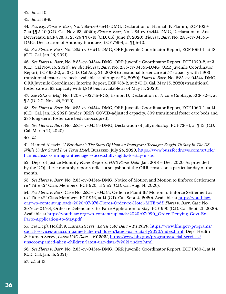<span id="page-35-0"></span>[42](#page-8-0)*. Id*. at 10.

[43](#page-8-0)*. Id*. at 18-9.

[44](#page-8-0)*. See, e.g., Flores v. Barr*, No. 2:85-cv-04544-DMG, Declaration of Hannah P. Flamm, ECF 1039- 7, at ¶¶ 5-10 (C.D. Cal. Nov. 23, 2020); *Flores v. Barr*, No. 2:85-cv-04544-DMG, Declaration of Ana Devereaux, ECF 823, at 23-26 ¶¶ 6-13 (C.D. Cal. June 17, 2020); *Flores v. Barr*, No. 2:85-cv-04544- DMG, Declaration of Anthony Enriquez, ECF 759-4, at ¶¶ 5-10.

[45](#page-8-0)*. See Flores v. Barr*, No. 2:85-cv-04544-DMG, ORR Juvenile Coordinator Report, ECF 1060-1, at 18 (C.D. Cal. Jan. 15, 2021).

[46](#page-8-0)*. See Flores v. Barr*, No. 2:85-cv-04544-DMG, ORR Juvenile Coordinator Report, ECF 1029-2, at 3 (C.D. Cal Nov. 16, 2020); *see also Flores v. Barr*, No. 2:85-cv-04544-DMG, ORR Juvenile Coordinator Report, ECF 932-2, at 3 (C.D. Cal Aug. 24, 2020) (transitional foster care at 5% capacity with 1,903 transitional foster care beds available as of August 22, 2020); *Flores v. Barr*, No. 2:85-cv-04544-DMG, ORR Juvenile Coordinator Interim Report, ECF 788-2, at 2 (C.D. Cal. May 15, 2020) (transitional foster care at 8% capacity with 1,849 beds available as of May 14, 2020).

[47](#page-8-0)*. See PJES v. Wolf*, No. 1:20-cv-02245-EGS, Exhibit D, Declaration of Nicole Cubbage, ECF 82-4, at ¶ 5 (D.D.C. Nov. 25, 2020).

[48](#page-8-0)*. See Flores v. Barr*, No. 2:85-cv-04544-DMG, ORR Juvenile Coordinator Report, ECF 1060-1, at 14 (C.D. Cal. Jan. 15, 2021) (under ORR's COVID-adjusted capacity, 309 transitional foster care beds and 285 long-term foster care beds unoccupied).

[49](#page-8-0)*. See Flores v. Barr*, No. 2:85-cv-04544-DMG, Declaration of Jallyn Sualog, ECF 736-1, at ¶ 13 (C.D. Cal. March 27, 2020).

[50](#page-8-0)*. Id*.

[51](#page-7-0). Hamed Aleaziz, *"I Felt Alone": The Story Of How An Immigrant Teenager Fought To Stay In The US While Under Guard In A Texas Hotel*, Buzzfeed, July 24, 2020, [https://www.buzzfeednews.com/article/](https://www.buzzfeednews.com/article/hamedaleaziz/immigrantteenager-successfully-fights-to-stay-in-u) [hamedaleaziz/immigrantteenager-successfully-fights-to-stay-in-us](https://www.buzzfeednews.com/article/hamedaleaziz/immigrantteenager-successfully-fights-to-stay-in-u).

[52.](#page-8-0) Dep't of Justice Monthly *Flores* Reports, *HHS Flores Data*, Jan. 2018 – Dec. 2020. As provided by the DOJ, these monthly reports reflect a snapshot of the ORR census on a particular day of the month.

[53.](#page-9-0) *See Flores v. Barr*, No. 2:85-cv-04544-DMG, Notice of Motion and Motion to Enforce Settlement re "Title 42" Class Members, ECF 920, at 2 n2 (C.D. Cal. Aug. 14, 2020).

[54.](#page-9-0) *See Flores v. Barr*, Case No. 2:85-cv-04544, Order re Plaintiffs' Motion to Enforce Settlement as to "Title 42" Class Members, ECF 976, at 14 (C.D. Cal. Sept. 4, 2020). Available at [https://youthlaw.](https://youthlaw.org/wp-content/uploads/2020/07/976-Flores-Order-re-Hotel-MTE.pdf) [org/wp-content/uploads/2020/07/976-Flores-Order-re-Hotel-MTE.pdf](https://youthlaw.org/wp-content/uploads/2020/07/976-Flores-Order-re-Hotel-MTE.pdf); *Flores v. Barr*, Case No. 2:85-cv-04544, Order re Defendants' Ex Parte Application to Stay, ECF 990 (C.D. Cal. Sept. 21, 2020). Available at [https://youthlaw.org/wp-content/uploads/2020/07/990\\_Order-Denying-Govt-Ex-](https://youthlaw.org/wp-content/uploads/2020/07/990_Order-Denying-Govt-Ex-Parte-Application-to-Stay.)[Parte-Application-to-Stay.pdf.](https://youthlaw.org/wp-content/uploads/2020/07/990_Order-Denying-Govt-Ex-Parte-Application-to-Stay.)

[55](#page-9-0). *See* Dep't Health & Human Servs., *Latest UAC Data – FY 2020*, [https://www.hhs.gov/programs/](https://www.hhs.gov/programs/social-services/unaccompanied-alien-children/latest-uac-data-fy2020/ind) [social-services/unaccompanied-alien-children/latest-uac-data-fy2020/index.html](https://www.hhs.gov/programs/social-services/unaccompanied-alien-children/latest-uac-data-fy2020/ind); Dep't Health & Human Servs., *Latest UAC Data – FY 2021*, [https://www.hhs.gov/programs/social-services/](https://www.hhs.gov/programs/social-services/unaccompanied-alien-children/latest-uac-data-fy2021/ind) [unaccompanied-alien-children/latest-uac-data-fy2021/index.html](https://www.hhs.gov/programs/social-services/unaccompanied-alien-children/latest-uac-data-fy2021/ind).

[56](#page-9-0)*. See Flores v. Barr*, No. 2:85-cv-04544-DMG, ORR Juvenile Coordinator Report, ECF 1060-1, at 14 (C.D. Cal. Jan. 15, 2021).

[57](#page-9-0). *Id*. at 13.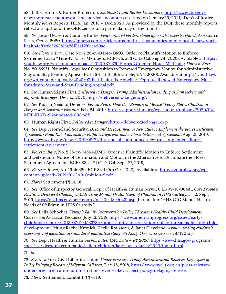<span id="page-36-0"></span>[58.](#page-9-0) U.S. Customs & Border Protection, *Southwest Land Border Encounters*, [https://www.cbp.gov/](https://www.cbp.gov/newsroom/stats/southwest-land-border-encounters) [newsroom/stats/southwest-land-border-encounters](https://www.cbp.gov/newsroom/stats/southwest-land-border-encounters) (as listed on January 19, 2021); Dep't of Justice Monthly *Flores* Reports, HHS, Jan. 2018 – Dec. 2020. As provided by the DOJ, these monthly reports reflect a snapshot of the ORR census on a particular day of the month.

[59.](#page-10-0) *See* Jason Dearen & Garance Burke, *Pence ordered borders closed after CDC experts refused*, Associated Press, Oct. 3, 2020, [https://apnews.com/article/virus-outbreak-pandemics-public-health-new-york](https://apnews.com/article/virus-outbreak-pandemics-public-health-new-york-health4ef0c6c5263815a26f8)[health4ef0c6c5263815a26f8aa17f6ea490ae](https://apnews.com/article/virus-outbreak-pandemics-public-health-new-york-health4ef0c6c5263815a26f8).

[60](#page-10-0). *See Flores v. Barr*, Case No. 2:28-cv-04544-DMG, Order re Plaintiffs' Motion to Enforce Settlement as to "Title 42" Class Members, ECF 976, at 3 (C.D. Cal. Sept. 4, 2020). Available at [https://](https://youthlaw.org/wp-content/uploads/2020/07/976- Flores-Order-re-Hotel-MTE.pdf) [youthlaw.org/wp-content/uploads/2020/07/976- Flores-Order-re-Hotel-MTE.pdf](https://youthlaw.org/wp-content/uploads/2020/07/976- Flores-Order-re-Hotel-MTE.pdf).; *Flores v. Barr*, No. 20-55951, Plaintiffs-Appellees' Opposition to Renewed Emergency Motion for Administrative Stay and Stay Pending Appeal, ECF 16-1, at 16 (9th Cir. Sept. 25, 2020). Available at [https://youthlaw.](https://youthlaw.org/wp-content/uploads/2020/07/16-1-Plaintiffs-Appellees-Opp.-to-Renewed-Emergency-) [org/wp-content/uploads/2020/07/16-1-Plaintiffs-Appellees-Opp.-to-Renewed-Emergency-Mot.](https://youthlaw.org/wp-content/uploads/2020/07/16-1-Plaintiffs-Appellees-Opp.-to-Renewed-Emergency-) [forAdmin.-Stay-and-Stay-Pending-Appeal.pdf.](https://youthlaw.org/wp-content/uploads/2020/07/16-1-Plaintiffs-Appellees-Opp.-to-Renewed-Emergency-)

[61.](#page-10-0) *See* Human Rights First, *Delivered to Danger: Trump Administration sending asylum seekers and migrants to danger*, Dec. 15, 2020,<https://deliveredtodanger.org/>.

[62](#page-10-0)*. See* Kids in Need of Defense, *Forced Apart: How the "Remain in Mexico" Policy Places Children in Danger and Separates Families*, Feb. 24, 2019, [https://supportkind.org/wp-content/uploads/2020/02/](https://supportkind.org/wp-content/uploads/2020/02/MPP-KIND-2.24updated-003.pdf) [MPP-KIND-2.24updated-003.pdf.](https://supportkind.org/wp-content/uploads/2020/02/MPP-KIND-2.24updated-003.pdf)

[63.](#page-10-0) Human Rights First, *Delivered to Danger*,<https://deliveredtodanger.org/>.

[64](#page-10-0)*. See* Dep't Homeland Security, *DHS and HHS Announce New Rule to Implement the Flores Settlement Agreement; Final Rule Published to Fulfill Obligations under Flores Settlement Agreement*, Aug. 21, 2019, [https://www.dhs.gov/news/2019/08/21/dhs-and-hhs-announce-new-rule-implement-flores](https://www.dhs.gov/news/2019/08/21/dhs-and-hhs-announce-new-rule-implement-flores-settlement-agreem)[settlement-agreement](https://www.dhs.gov/news/2019/08/21/dhs-and-hhs-announce-new-rule-implement-flores-settlement-agreem).

[65](#page-11-0). *Flores v. Barr*, No. 2:85-cv-04544-DMG, Order re Plaintiffs' Motion to Enforce Settlement and Defendants' Notice of Termination and Motion in the Alternative to Terminate the Flores Settlement Agreement, ECF 688, at 21 (C.D. Cal. Sept. 27, 2019).

[66](#page-11-0)*. Flores v. Rosen*, No. 19-56326, ECF 83-1 (9th Cir. 2020). Available at [https://youthlaw.org/wp](https://youthlaw.org/wp-content/uploads/2021/01/CA9-Opinion-2.pdf)[content/uploads/2021/01/CA9-Opinion-2.pdf](https://youthlaw.org/wp-content/uploads/2021/01/CA9-Opinion-2.pdf).

[67](#page-12-0)*. Flores* Settlement ¶¶ 14, 18.

[68](#page-12-0)*. See* Office of Inspector General, Dep't of Health & Human Servs., OEI-09-18-00431, *Care Provider Facilities Described Challenges Addressing Mental Health Needs of Children in HHS Custody*, at 12, Sept. 2019, <https://oig.hhs.gov/oei/reports/oei-09-18-00431.asp> [hereinafter "HHS OIG Mental Health Needs of Children in HHS Custody"].

[69.](#page-12-0) *See* Leila Schochet, *Trump's Family Incarceration Policy Threatens Healthy Child Development*, CENTER FOR AMERICAN PROGRESS, July 12, 2018, [https://www.americanprogress.org/issues/early](https://www.americanprogress.org/issues/early-childhood/reports/2018/07/12/453378/trumps-family-inca)[childhood/reports/2018/07/12/453378/trumps-family-incarceration-policy-threatens-healthy-child](https://www.americanprogress.org/issues/early-childhood/reports/2018/07/12/453378/trumps-family-inca)[development/](https://www.americanprogress.org/issues/early-childhood/reports/2018/07/12/453378/trumps-family-inca) (citing Rachel Kronick, Cecile Rousseau, & Janet Cleveland, *Asylum-seeking children's experiences of detention in Canada: A qualitative study*, 85 Am. J. ORTHOPSYCHIATRY 287 (2015)).

[70.](#page-12-0) *See* Dep't Health & Human Servs., *Latest UAC Data – FY 2020*, [https://www.hhs.gov/programs/](https://www.hhs.gov/programs/social-services/unaccompanied-alien-children/latest-uac-data-fy2020/ind) [social-services/unaccompanied-alien-children/latest-uac-data-fy2020/index.html](https://www.hhs.gov/programs/social-services/unaccompanied-alien-children/latest-uac-data-fy2020/ind). [71](#page-12-0)*. Id*.

[72](#page-12-0)*. See* New York Civil Liberties Union, *Under Pressure: Trump Administration Reverses Key Aspect of Policy Delaying Release of Migrant Children*, Dec. 18, 2018, [https://www.nyclu.org/en/press-releases/](https://www.nyclu.org/en/press-releases/under-pressure-trump-administration-reverses-key-aspect-poli) [under-pressure-trump-administration-reverses-key-aspect-policy-delaying-release.](https://www.nyclu.org/en/press-releases/under-pressure-trump-administration-reverses-key-aspect-poli)

[73](#page-13-0)*. Flores* Settlement, Exhibit 1, ¶¶ 6, 19.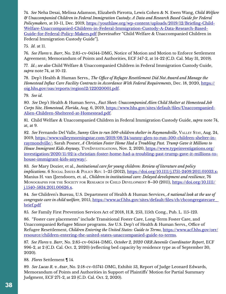<span id="page-37-0"></span>[74](#page-13-0)*. See* Neha Desai, Melissa Adamson, Elizabeth Pirrotta, Lewis Cohen & N. Ewen Wang, *Child Welfare & Unaccompanied Children in Federal Immigration Custody: A Data and Research Based Guide for Federal Policymakers*, at 10-11, Dec. 2019, [https://youthlaw.org/wp-content/uploads/2019/12/Briefing-Child-](https://youthlaw.org/wp-content/uploads/2019/12/Briefing-Child-Welfare-Unaccompanied-Children-in-Fed)[Welfare-Unaccompanied-Children-in-Federal-Immigration-Custody-A-Data-Research-Based-](https://youthlaw.org/wp-content/uploads/2019/12/Briefing-Child-Welfare-Unaccompanied-Children-in-Fed)[Guide-for-Federal-Policy-Makers.pdf](https://youthlaw.org/wp-content/uploads/2019/12/Briefing-Child-Welfare-Unaccompanied-Children-in-Fed) [hereinafter "Child Welfare & Unaccompanied Children in Federal Immigration Custody Guide"].

[75](#page-13-0)*. Id*. at 11.

[76](#page-13-0)*. See Flores v. Barr*, No. 2:85-cv-04544-DMG, Notice of Motion and Motion to Enforce Settlement Agreement; Memorandum of Points and Authorities, ECF 547-2, at 14-22 (C.D. Cal. May 31, 2019).

[77](#page-13-0)*. Id*.; *see also* Child Welfare & Unaccompanied Children in Federal Immigration Custody Guide, *supra* note 74, at 10-12.

[78](#page-13-0). Dep't Health & Human Servs., *The Office of Refugee Resettlement Did Not Award and Manage the Homestead Influx Care Facility Contracts in Accordance With Federal Requirements*, Dec. 18, 2020, [https://](https://oig.hhs.gov/oas/reports/region12/122020001.pdf) [oig.hhs.gov/oas/reports/region12/122020001.pdf](https://oig.hhs.gov/oas/reports/region12/122020001.pdf).

[79](#page-13-0)*. See id*.

[80.](#page-15-0) *See* Dep't Health & Human Servs., *Fact Sheet: Unaccompanied Alien Child Shelter at Homestead Job Corps Site, Homestead, Florida*, Aug. 6, 2019, [https://www.hhs.gov/sites/default/files/Unaccompanied-](https://www.hhs.gov/sites/default/files/Unaccompanied-Alien-Children-Sheltered-at-Homestead.pdf)[Alien-Children-Sheltered-at-Homestead.pdf.](https://www.hhs.gov/sites/default/files/Unaccompanied-Alien-Children-Sheltered-at-Homestead.pdf)

[81.](#page-15-0) Child Welfare & Unaccompanied Children in Federal Immigration Custody Guide, *supra* note 74, at, at 9.

[82](#page-15-0). *See* Fernando Del Valle, *Sunny Glen to run 500-children shelter in Raymondville*, Valley Stay, Aug. 24, 2019, [https://www.valleymorningstar.com/2019/08/24/sunny-glen-to-run-500-children-shelter-in](https://www.valleymorningstar.com/2019/08/24/sunny-glen-to-run-500-children-shelter-in-raymondville/)[raymondville/;](https://www.valleymorningstar.com/2019/08/24/sunny-glen-to-run-500-children-shelter-in-raymondville/) Sarah Posner, *A Christian Foster Home Had a Troubling Past. Trump Gave it Millions to House Immigrant Kids Anyway*, TypeInvestigations, Nov. 2, 2020, [https://www.typeinvestigations.org/](https://www.typeinvestigations.org/investigation/2020/11/02/a-christian-foster-home-had-a-troubling-) [investigation/2020/11/02/a-christian-foster-home-had-a-troubling-past-trump-gave-it-millions-to](https://www.typeinvestigations.org/investigation/2020/11/02/a-christian-foster-home-had-a-troubling-)[house-immigrant-kids-anyway/.](https://www.typeinvestigations.org/investigation/2020/11/02/a-christian-foster-home-had-a-troubling-)

[83](#page-15-0)*. See* Mary Dozier, et al., *Institutional care for young children: Review of literature and policy implications*. 6 Social Issues & Policy Rev. 1–25 (2012),<https://doi.org/10.1111/j.1751-2409.2011.01033.x>; Manius H. van IJzendoorn, et. al., *Children in institutional care: Delayed development and resilience*, 76 Monographs for the Society for Research in Child Development 8–30 (2011), [https://doi.org/10.1111/](https://doi.org/10.1111/j.1540-5834.2011.00626.x) [j.1540-5834.2011.00626.x.](https://doi.org/10.1111/j.1540-5834.2011.00626.x)

[84](#page-15-0)*. See* Children's Bureau, U.S. Department of Health & Human Services, *A national look at the use of congregate care in child welfare*, 2015, https://www.acf.hhs.gov/sites/default/files/cb/cbcongregatecare [brief.pdf](https://www.acf.hhs.gov/sites/default/files/cb/cbcongregatecare_ brief.pdf)

[85](#page-15-0)*. See* Family First Prevention Services Act of 2018, H.R. 253, 115th Cong., Pub. L. 115-123.

[86](#page-15-0). "Foster care placements" include Transitional Foster Care, Long-Term Foster Care, and Unaccompanied Refugee Minor programs. *See* U.S. Dep't of Health & Human Servs., Office of Refugee Resettlement, *Children Entering the United States: Guide to Terms*, [https://www.acf.hhs.gov/orr/](https://www.acf.hhs.gov/orr/resource/children-entering-the-united-states-unaccompanied-guide-to-term) [resource/children-entering-the-united-states-unaccompanied-guide-to-terms.](https://www.acf.hhs.gov/orr/resource/children-entering-the-united-states-unaccompanied-guide-to-term)

[87](#page-15-0)*. See Flores v. Barr*, No. 2:85-cv-04544-DMG, *October 2, 2020 ORR Juvenile Coordinator Report*, ECF 996-2, at 2 (C.D. Cal. Oct. 2, 2020) (reflecting bed capacity by residence type as of September 30, 2020).

[88](#page-16-0)*. Flores* Settlement ¶ 14.

[89](#page-16-0)*. See Lucas R. v. Azar*, No. 2:18-cv-05741-DMG, Exhibit 53, Report of Judge Leonard Edwards, Memorandum of Points and Authorities in Support of Plaintiffs' Motion for Partial Summary Judgment, ECF 271-2, at 23 (C.D. Cal. Oct. 2, 2020).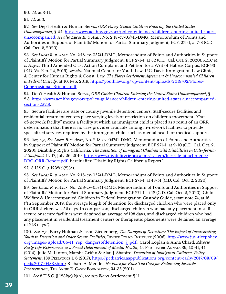<span id="page-38-0"></span>[90](#page-16-0)*. Id*. at 3-11.

[91](#page-16-0)*. Id*. at 3.

[92](#page-16-0)*. See* Dep't Health & Human Servs., *ORR Policy Guide: Children Entering the United States Unaccompanied*, § 2.1, [https://www.acf.hhs.gov/orr/policy-guidance/children-entering-united-states](https://www.acf.hhs.gov/orr/policy-guidance/children-entering-united-states-unaccompanied)[unaccompanied](https://www.acf.hhs.gov/orr/policy-guidance/children-entering-united-states-unaccompanied); *see also Lucas R. v. Azar*, No. 2:18-cv-05741-DMG, Memorandum of Points and Authorities in Support of Plaintiffs' Motion for Partial Summary Judgment, ECF. 271-1, at 7-8 (C.D. Cal. Oct. 2, 2020).

[93](#page-16-0)*. See Lucas R. v. Azar*, No. 2:18-cv-05741-DMG, Memorandum of Points and Authorities in Support of Plaintiffs' Motion for Partial Summary Judgment, ECF 271-1, at 32 (C.D. Cal. Oct. 2, 2020); *J.E.C.M. v. Hayes*, Third Amended Class Action Complaint and Petition for a Writ of Habeas Corpus, ECF 93 (E.D. Va. Feb. 22, 2019); *see also* National Center for Youth Law, U.C. Davis Immigration Law Clinic, & Center for Human Rights & Const. Law, *The Flores Settlement Agreement & Unaccompanied Children in Federal Custody*, at 10, Feb. 2019, [https://youthlaw.org/wp-content/uploads/2019/02/Flores-](https://youthlaw.org/wp-content/uploads/2019/02/Flores-Congressional-Briefing.pdf)[Congressional-Briefing.pdf](https://youthlaw.org/wp-content/uploads/2019/02/Flores-Congressional-Briefing.pdf).

[94](#page-16-0). Dep't Health & Human Servs., *ORR Guide: Children Entering the United States Unaccompanied*, § 2.8, [https://www.acf.hhs.gov/orr/policy-guidance/children-entering-united-states-unaccompanied](https://www.acf.hhs.gov/orr/policy-guidance/children-entering-united-states-unaccompanied-section-2#)[section-2#2.8.](https://www.acf.hhs.gov/orr/policy-guidance/children-entering-united-states-unaccompanied-section-2#)

[95](#page-18-0). Secure facilities are state or county juvenile detention centers. Staff-secure facilities and residential treatment centers place varying levels of restriction on children's movement. "Outof-network facility" means a facility at which an immigrant child is placed as a result of an ORR determination that there is no care provider available among in-network facilities to provide specialized services required by the immigrant child, such as mental health or medical support.

[96](#page-18-0)*. See, e.g., See Lucas R. v. Azar*, No. 2:18-cv-05741-DMG, Memorandum of Points and Authorities in Support of Plaintiffs' Motion for Partial Summary Judgment, ECF 271-1, at 9-10 (C.D. Cal. Oct. 2, 2020); Disability Rights California, *The Detention of Immigrant Children with Disabilities in Cali¬fornia: A Snapshot*, 14-17, July 26, 2019, [https://www.disabilityrightsca.org/system/files/file-attachments/](https://www.disabilityrightsca.org/system/files/file-attachments/DRC-ORR-Report.pdf) [DRC-ORR-Report.pdf](https://www.disabilityrightsca.org/system/files/file-attachments/DRC-ORR-Report.pdf) [hereinafter "Disability Rights California Report"].

[97.](#page-18-0) 8 U.S.C. § 1232(c)(2)(A).

[98](#page-18-0)*. See Lucas R. v. Azar*, No. 2:18-cv-05741-DMG, Memorandum of Points and Authorities in Support of Plaintiffs' Motion for Partial Summary Judgment, ECF 271-1, at 48-51 (C.D. Cal. Oct. 2, 2020).

[99](#page-18-0)*. See Lucas R. v. Azar*, No. 2:18-cv-05741-DMG, Memorandum of Points and Authorities in Support of Plaintiffs' Motion for Partial Summary Judgment, ECF 271-1, at 12 (C.D. Cal. Oct. 2, 2020); Child Welfare & Unaccompanied Children in Federal Immigration Custody Guide, *supra* note 74, at 16 ("In September 2019, the average length of detention for discharged children who were placed only in ORR shelters was 52 days. In comparison, discharged children who had any placement in staffsecure or secure facilities were detained an average of 198 days, and discharged children who had any placement in residential treatment centers or therapeutic placements were detained an average of 243 days.").

[100](#page-18-0)*. See, e.g.*, Barry Holman & Jason Ziedenberg, *The Dangers of Detention; The Impact of Incarcerating Youth in Detention and Other Secure Facilities*, JUSTICE POLICY INSTITUTE (2006), [http://www.jus¬ticepolicy.](http://www.jus¬ticepolicy.org/images/upload/06-11_rep_dangersofdetention_jj.pdf) [org/images/upload/06-11\\_rep\\_dangersofdetention\\_jj.pdf](http://www.jus¬ticepolicy.org/images/upload/06-11_rep_dangersofdetention_jj.pdf).; Carol Koplan & Anna Chard, *Adverse Early Life Experiences as a Social Determinant of Mental Health*, 44 Psychiatric Annals 39, 40-41, 44 (2014); Julie M. Linton, Marsha Griffin & Alan J. Shapiro, *Detention of Immigrant Children, Policy Statement*, 139 PEDIATRICS 1, 6 (2017), [https://pediatrics.aappublications.org/content/early/2017/03/09/](https://pediatrics.aappublications.org/content/early/2017/03/09/peds.2017-0483.short) [peds.2017-0483.short](https://pediatrics.aappublications.org/content/early/2017/03/09/peds.2017-0483.short); Richard A. Mendel, *No Place for Kids: The Case for Reduc¬ing Juvenile Incarceration*, THE ANNIE E. CASEY FOUNDATION, 34-35 (2011).

[101](#page-20-0)*. See* 8 U.S.C. § 1232(c)(2)(A); *see also Flores* Settlement ¶ 11.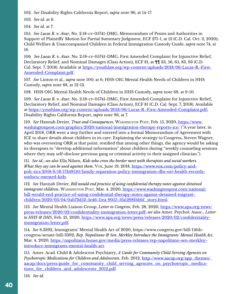<span id="page-39-0"></span>[102](#page-20-0)*. See* Disability Rights California Report, *supra* note 96, at 14-17.

[103](#page-20-0)*. See id*. at 6.

[104](#page-20-0)*. See id*. at 7.

[105](#page-20-0)*. See Lucas R. v. Azar*, No. 2:18-cv-05741-DMG, Memorandum of Points and Authorities in Support of Plaintiffs' Motion for Partial Summary Judgment, ECF 271-1, at 12 (C.D. Cal. Oct. 2, 2020); Child Welfare & Unaccompanied Children in Federal Immigration Custody Guide, *supra* note 74, at 16.

[106](#page-20-0)*. See Lucas R. v. Azar*, No. 2:18-cv-05741-DMG, First Amended Complaint for Injunctive Relief, Declaratory Relief, and Nominal Damages (Class Action), ECF 81, at ¶¶ 33, 56, 65, 83, 93 (C.D. Cal. Sept. 7, 2018). Available at [https://youthlaw.org/wp-content/uploads/2018/06/Lucas-R.-First-](https://youthlaw.org/wp-content/uploads/2018/06/Lucas-R.-First-Amended-Complaint.pdf)[Amended-Complaint.pdf](https://youthlaw.org/wp-content/uploads/2018/06/Lucas-R.-First-Amended-Complaint.pdf).

[107](#page-20-0)*. See* Linton et al., *supra* note 100, at 6; HHS OIG Mental Health Needs of Children in HHS Custody, *supra* note 68, at 12-13.

[108.](#page-22-0) HHS OIG Mental Health Needs of Children in HHS Custody, *supra* note 68, at 9-10.

[109](#page-22-0)*. See Lucas R. v. Azar*, No. 2:18-cv-05741-DMG, First Amended Complaint for Injunctive Relief, Declaratory Relief, and Nominal Damages (Class Action), ECF 81 (C.D. Cal. Sept. 7, 2018). Available at<https://youthlaw.org/wp-content/uploads/2018/06/Lucas-R.-First-Amended-Complaint.pdf>; Disability Rights California Report, *supra* note 96, at 7.

[110](#page-22-0). See Hannah Dreier, *Trust and Consequences*, WASHINGTON POST, Feb. 15, 2020, [https://www.](https://www.washingtonpost.com/graphics/2020/national/immigration-therapy-reports-ice/) [washingtonpost.com/graphics/2020/national/immigration-therapy-reports-ice/](https://www.washingtonpost.com/graphics/2020/national/immigration-therapy-reports-ice/) ("A year later, in April 2018, ORR went a step further and entered into a formal Memorandum of Agreement with ICE to share details about children in its care. Explaining the strategy to Congress, Steven Wagner, who was overseeing ORR at that point, testified that among other things, the agency would be asking its therapists to "develop additional information" about children during "weekly counseling sessions where they may self-disclose previous gang or criminal activity to their assigned clinician.").

[111](#page-22-0)*. See id*.; *see also* Ella Nilsen, *Kids who cross the border meet with therapists and social workers. What they say can be used against them*, Vox, June 19, 2018, [https://www.vox.com/policy-and](https://www.vox.com/policy-and-poli¬tics/2018/6/18/17449150/family-separation-policy-immigration-dhs)[poli¬tics/2018/6/18/17449150/family-separation-policy-immigration-dhs-orr-health-records](https://www.vox.com/policy-and-poli¬tics/2018/6/18/17449150/family-separation-policy-immigration-dhs)[undocu¬mented-kids](https://www.vox.com/policy-and-poli¬tics/2018/6/18/17449150/family-separation-policy-immigration-dhs).

[112](#page-22-0)*. See* Hannah Dreier, *Bill would end practice of using confidential therapy notes against detained immigrant children*, WASHINGTON POST, Mar. 4, 2020, [https://www.washingtonpost.com/national/](https://www.washingtonpost.com/national/bill-would-end-practice-of-using-confidential-therapy-notes-) [bill-would-end-practice-of-using-confidential-therapy-notes-against-detained-migrant](https://www.washingtonpost.com/national/bill-would-end-practice-of-using-confidential-therapy-notes-)[children/2020/03/04/0ab73d52-5e46-11ea-9055-5fa12981bbbf\\_story.html](https://www.washingtonpost.com/national/bill-would-end-practice-of-using-confidential-therapy-notes-).

[113](#page-22-0)*. See* Mental Health Liaison Group, *Letter to Congress*, Feb. 28, 2020, [https://www.apa.org/news/](https://www.apa.org/news/press/releases/2020/02/confidentiality-immigration-letter.pdf) [press/releases/2020/02/confidentiality-immigration-letter.pdf](https://www.apa.org/news/press/releases/2020/02/confidentiality-immigration-letter.pdf); *see also* Amer. Psychol. Assoc., *Letter to HHS & DHS*, Feb. 21, 2020, [https://www.apa.org/news/press/releases/2020/02/confidentiality](https://www.apa.org/news/press/releases/2020/02/confidentiality-immigration-letter.pdf)[immigration-letter.pdf.](https://www.apa.org/news/press/releases/2020/02/confidentiality-immigration-letter.pdf)

[114](#page-22-0)*. See* S.3392, Immigrants' Mental Health Act of 2020, https://www.congress.gov/bill/116thcongress/senate-bill/3392; *Rep. Napolitano & Sen. Merkley Introduce the Immigrants' Mental Health Act*, Mar. 4, 2020, [https://napolitano.house.gov/media/press-releases/rep-napolitano-sen-merkley](https://napolitano.house.gov/media/press-releases/rep-napolitano-sen-merkley-introduce-immigrants-me)[introduce-immigrants-mental-health-act.](https://napolitano.house.gov/media/press-releases/rep-napolitano-sen-merkley-introduce-immigrants-me)

[115.](#page-23-0) Amer. Acad. Child & Adolescent Psychiatry, *A Guide for Community Child Serving Agencies on Psychotropic Medications for Children and Adolescents*, Feb. 2012, http://www.aacap.org/app\_themes/ [aacap/docs/press/guide\\_for\\_community\\_child\\_serving\\_agencies\\_on\\_psychotropic\\_medica](http://www.aacap.org/app_themes/ aacap/docs/press/guide_for_community_child_serving_agencies_on_psyc)tions for children and adolescents 2012.pdf.

[116](#page-23-0)*. See id*.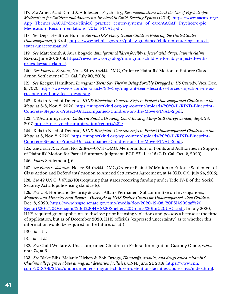<span id="page-40-0"></span>[117](#page-23-0)*. See* Amer. Acad. Child & Adolescent Psychiatry, *Recommendations about the Use of Psychotropic Medications for Children and Adolescents Involved in Child-Serving Systems* (2015), [https://www.aacap. org/](https://www.aacap. org/App_Themes/AACAP/docs/clinical_practice_center/systems_of_care/AACAP_Psychotr) App\_Themes/AACAP/docs/clinical\_practice\_center/systems\_of\_care/AACAP\_Psychotro-pic Medication Recommendations 2015 FINAL.pdf.

[118](#page-23-0)*. See* Dep't Health & Human Servs., *ORR Policy Guide: Children Entering the United States Unaccompanied*, § 3.4.4., [https://www.acf.hhs.gov/orr/policy-guidance/children-entering-united](https://www.acf.hhs.gov/orr/policy-guidance/children-entering-united-states-unaccompanied)[states-unaccompanied.](https://www.acf.hhs.gov/orr/policy-guidance/children-entering-united-states-unaccompanied)

[119](#page-23-0)*. See* Matt Smith & Aura Bogado, *Immigrant children forcibly injected with drugs, lawsuit claims*, Reveal, June 20, 2018, [https://revealnews.org/blog/immigrant-children-forcibly-injected-with](https://revealnews.org/blog/immigrant-children-forcibly-injected-with-drugs-lawsuit-claims/)[drugs-lawsuit-claims/.](https://revealnews.org/blog/immigrant-children-forcibly-injected-with-drugs-lawsuit-claims/)

[120](#page-23-0)*. See Flores v. Sessions*, No. 2:85-cv-04544-DMG, Order re Plaintiffs' Motion to Enforce Class Action Settlement (C.D. Cal. July 30, 2018).

[121](#page-23-0)*. See* Keegan Hamilton, *Immigrant Teens Say They're Being Forcibly Drugged in US Custody*, Vice, Dec. 9, 2020, [https://www.vice.com/en/article/93w3ey/migrant-teen-describes-forced-injections-in-us](https://www.vice.com/en/article/93w3ey/migrant-teen-describes-forced-injections-in-us-custody-my-bod)[custody-my-body-feels-desperate.](https://www.vice.com/en/article/93w3ey/migrant-teen-describes-forced-injections-in-us-custody-my-bod)

[122.](#page-24-0) Kids in Need of Defense, *KIND Blueprint: Concrete Steps to Protect Unaccompanied Children on the Move*, at 6-8, Nov. 2, 2020, [https://supportkind.org/wp-content/uploads/2020/11/KIND-Blueprint-](https://supportkind.org/wp-content/uploads/2020/11/KIND-Blueprint-Concrete-Steps-to-Protect-Unaccomp)[Concrete-Steps-to-Protect-Unaccompanied-Children-on-the-Move-FINAL-2.pdf.](https://supportkind.org/wp-content/uploads/2020/11/KIND-Blueprint-Concrete-Steps-to-Protect-Unaccomp)

[123.](#page-24-0) TRACImmigration, *Children: Amid a Growing Court Backlog Many Still Unrepresented*, Sept. 28, 2017, <https://trac.syr.edu/immigration/reports/482/>.

[124](#page-24-0). Kids in Need of Defense, *KIND Blueprint: Concrete Steps to Protect Unaccompanied Children on the Move*, at 6, Nov. 2, 2020, [https://supportkind.org/wp-content/uploads/2020/11/KIND-Blueprint-](https://supportkind.org/wp-content/uploads/2020/11/KIND-Blueprint-Concrete-Steps-to-Protect-Unaccomp)[Concrete-Steps-to-Protect-Unaccompanied-Children-on-the-Move-FINAL-2.pdf.](https://supportkind.org/wp-content/uploads/2020/11/KIND-Blueprint-Concrete-Steps-to-Protect-Unaccomp)

[125](#page-24-0)*. See Lucas R. v. Azar*, No. 2:18-cv-05741-DMG, Memorandum of Points and Authorities in Support of Plaintiffs' Motion for Partial Summary Judgment, ECF. 271-1, at 16 (C.D. Cal. Oct. 2, 2020)

[126](#page-25-0)*. Flores* Settlement ¶ 6.

[127](#page-25-0)*. See Flores v. Johnson*, No. cv-85-04544-DMG,Order re Plaintiffs' Motion to Enforce Settlement of Class Action and Defendants' motion to Amend Settlement Agreement, at 14 (C.D. Cal. July 24, 2015).

[128](#page-25-0)*. See* 42 U.S.C. § 671(a)(10) (requiring that states receiving funding under Title IV-E of the Social Security Act adopt licensing standards).

[129](#page-25-0)*. See* U.S. Homeland Security & Gov't Affairs Permanent Subcommittee on Investigations, *Majority and Minority Staff Report - Oversight of HHS Shelter Grants for Unaccompanied Alien Children*, Dec. 8, 2020, [https://www.hsgac.senate.gov/imo/media/doc/2020-12-08%20PSI%20Staff%20](https://www.hsgac.senate.gov/imo/media/doc/2020-12-08%20PSI%20Staff%20Report%20-%20Oversight%20of%20) [Report%20-%20Oversight%20of%20HHS%20Shelter%20Grants%20for%20UACs.pdf.](https://www.hsgac.senate.gov/imo/media/doc/2020-12-08%20PSI%20Staff%20Report%20-%20Oversight%20of%20) In July 2020, HHS required grant applicants to disclose prior licensing violations and possess a license at the time of application, but as of December 2020, HHS officials "expressed uncertainty" as to whether this information would be required in the future. *Id*. at 4.

[130](#page-25-0)*. Id*. at 1.

[131](#page-25-0)*. Id*. at 55.

[132](#page-25-0)*. See* Child Welfare & Unaccompanied Children in Federal Immigration Custody Guide, *supra* note 74, at 6.

[133](#page-25-0)*. See* Blake Ellis, Melanie Hicken & Bob Ortega, *Handcuffs, assaults, and drugs called 'vitamins': Children allege grave abuse at migrant detention facilities*, CNN, June 21, 2018, [https://www.cnn.](https://www.cnn. com/2018/06/21/us/undocumented-migrant-children-detention-facilities-abuse-invs/ind)  [com/2018/06/21/us/undocumented-migrant-children-detention-facilities-abuse-invs/index.html.](https://www.cnn. com/2018/06/21/us/undocumented-migrant-children-detention-facilities-abuse-invs/ind)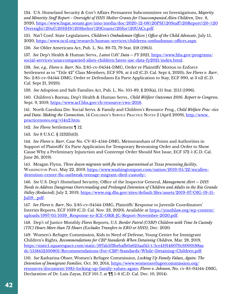<span id="page-41-0"></span>[134](#page-25-0). U.S. Homeland Security & Gov't Affairs Permanent Subcommittee on Investigations, *Majority and Minority Staff Report - Oversight of HHS Shelter Grants for Unaccompanied Alien Children*, Dec. 8, 2020, [https://www.hsgac.senate.gov/imo/media/doc/2020-12-08%20PSI%20Staff%20Report%20-%20](https://www.hsgac.senate.gov/imo/media/doc/2020-12-08%20PSI%20Staff%20Report%20-%20Oversight%20of%20) [Oversight%20of%20HHS%20Shelter%20Grants%20for%20UACs.pdf.](https://www.hsgac.senate.gov/imo/media/doc/2020-12-08%20PSI%20Staff%20Report%20-%20Oversight%20of%20)

135. Nat'l Conf. State Legislatures, *Children's Ombudsman Offices* | *Office of the Child Advocate*, July 15, 2020, <https://www.ncsl.org/research/human-services/childrens-ombudsman-offices.aspx>.

136*. See* Older Americans Act, Pub. L. No. 89-73, 79 Stat. 218 (1965).

[137](#page-27-0)*. See* Dep't Health & Human Servs., *Latest UAC Data – FY 2021*, [https://www.hhs.gov/programs/](https://www.hhs.gov/programs/social-services/unaccompanied-alien-children/latest-uac-data-fy2021/ind) [social-services/unaccompanied-alien-children/latest-uac-data-fy2021/index.html.](https://www.hhs.gov/programs/social-services/unaccompanied-alien-children/latest-uac-data-fy2021/ind)

[138](#page-27-0)*. See, e.g., Flores v. Barr*, No. 2:85-cv-04544-DMG, Order re Plaintiffs' Motion to Enforce Settlement as to "Title 42" Class Members, ECF 976, at 4 n2 (C.D. Cal. Sept 4, 2020); *See Flores v. Barr*, No. 2:85-cv-04544-DMG, Order re Defendants Ex Parte Application to Stay, ECF 990, at 3 n2 (C.D. Cal. Sept 21, 2020).

[139](#page-27-0)*. See* Adoption and Safe Families Act, Pub. L. No. 105-89, § 203(a), 111 Stat. 2115 (1996).

[140](#page-27-0). Children's Bureau, Dep't Health & Human Servs., *Child Welfare Outcomes 2016: Report to Congress*, Sept. 9, 2019, [https://www.acf.hhs.gov/cb/resource/cwo-2016.]( https://www.acf.hhs.gov/cb/resource/cwo-2016)

[141.](#page-27-0) North Carolina Div. Social Servs. & Family and Children's Resource Prog., *Child Welfare Prac¬tice*  and Data: Making the Connection, 14 CHILDREN'S SERVICE PRACTICE NOTES 2 (April 2009), http://www. [practicenotes.org/v14n2.htm](http://www. practicenotes.org/v14n2.htm).

[142](#page-29-0)*. See Flores* Settlement ¶ 12.

[143](#page-29-0)*. See* 8 U.S.C. § 1232(b)(3).

[144](#page-29-0)*. See Flores v. Barr*, Case No. CV-85-4544-DMG, Memorandum of Points and Authorities in Support of Plaintiffs' Ex Parte Application for Temporary Restraining Order and Order to Show Cause Why a Preliminary Injunction and Contempt Order Should Not Issue, ECF 572-1 (C.D. Cal. June 26, 2019).

[145.](#page-29-0) Meagan Flynn, *Three dozen migrants with flu virus quarantined at Texas processing facility*, WASHINGTON POST, May 22, 2019, [https://www.washingtonpost.com/nation/2019/05/22/mcallen](https://www.washingtonpost.com/nation/2019/05/22/mcallen-detention-center-flu-outbreak-teenage-migra)[detention-center-flu-outbreak-teenage-migrant-died-custody/.](https://www.washingtonpost.com/nation/2019/05/22/mcallen-detention-center-flu-outbreak-teenage-migra)

[146](#page-29-0)*. See* U.S. Dep't Homeland Security, Office of the Inspector General, *Management Alert – DHS Needs to Address Dangerous Overcrowding and Prolonged Detention of Children and Adults in the Rio Grande Valley (Redacted)*, July 2, 2019, [https://www.oig.dhs.gov/sites/default/files/assets/2019-07/OIG-19-51-](https://www.oig.dhs.gov/sites/default/files/assets/2019-07/OIG-19-51-Jul19_.pdf) Jul19 .pdf.

[147](#page-29-0)*. See Flores v. Barr*, No. 2:85-cv-04544-DMG, Plaintiffs' Response to Juvenile Coordinators' Interim Reports, ECF 1039 (C.D. Cal. Nov. 23, 2020). Available at [https://youthlaw.org/wp-content/](https://youthlaw.org/wp-content/uploads/1997/05/1039_Response-to-ICE-ORR-JC-Report-November-2020.pdf) [uploads/1997/05/1039\\_Response-to-ICE-ORR-JC-Report-November-2020.pdf.](https://youthlaw.org/wp-content/uploads/1997/05/1039_Response-to-ICE-ORR-JC-Report-November-2020.pdf)

[148](#page-29-0). Dep't of Justice Monthly *Flores* Reports, *U.S. Border Patrol (USBP) Children with Time In Custody (TIC) Hours More than 72 Hours (Excludes Transfers to ERO or HHS)*, Dec. 2020.

[149](#page-29-0). Women's Refugee Commission, Kids in Need of Defense, Young Center for Immigrant Children's Rights, *Recommendations for CBP Standards When Detaining Children*, Mar. 28, 2019, [https://static1.squarespace.com/static/597ab5f3bebafb0a625aaf45/t/5ce419146070c6000188aa](https://static1.squarespace.com/static/597ab5f3bebafb0a625aaf45/t/5ce419146070c6000188aadc/155845250) [dc/1558452500801/Recommendations+For+CBP+Standards+While+Detaining+Children.pdf.](https://static1.squarespace.com/static/597ab5f3bebafb0a625aaf45/t/5ce419146070c6000188aadc/155845250)

[150](#page-30-0)*. See* Katharina Obser, Women's Refugee Commission, *Locking Up Family Values, Again: The Detention of Immigrant Families*, Oct. 30, 2014, [https://www.womensrefugeecommission.org/](https://www.womensrefugeecommission.org/resources/document/1085-locking-up-family-values-again) [resources/document/1085-locking-up-family-values-again;](https://www.womensrefugeecommission.org/resources/document/1085-locking-up-family-values-again) *Flores v. Johnson*, No. cv-85-04544-DMG, Declaration of Dr. Luis Zayas, ECF 101-7, at ¶¶ 1-6 (C.D. Cal. Dec. 10, 2014).